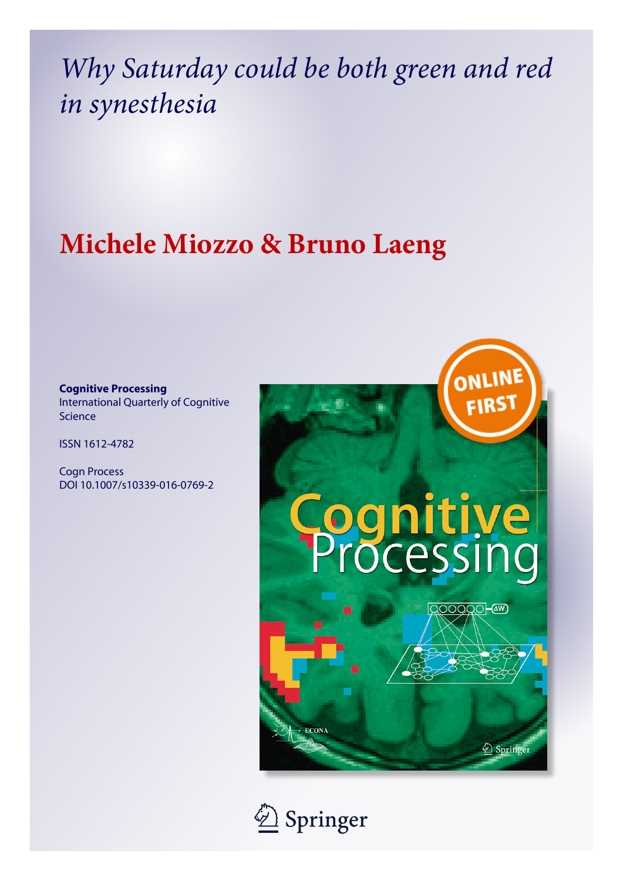# *Why Saturday could be both green and red in synesthesia*

## **Michele Miozzo & Bruno Laeng**

## **Cognitive Processing** International Quarterly of Cognitive Science

ISSN 1612-4782

Cogn Process DOI 10.1007/s10339-016-0769-2



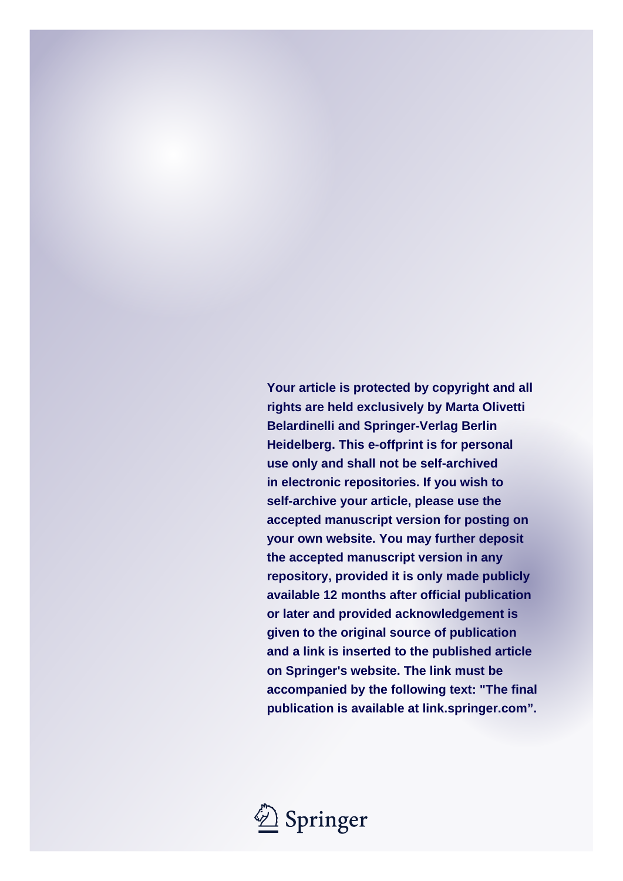**Your article is protected by copyright and all rights are held exclusively by Marta Olivetti Belardinelli and Springer-Verlag Berlin Heidelberg. This e-offprint is for personal use only and shall not be self-archived in electronic repositories. If you wish to self-archive your article, please use the accepted manuscript version for posting on your own website. You may further deposit the accepted manuscript version in any repository, provided it is only made publicly available 12 months after official publication or later and provided acknowledgement is given to the original source of publication and a link is inserted to the published article on Springer's website. The link must be accompanied by the following text: "The final publication is available at link.springer.com".**

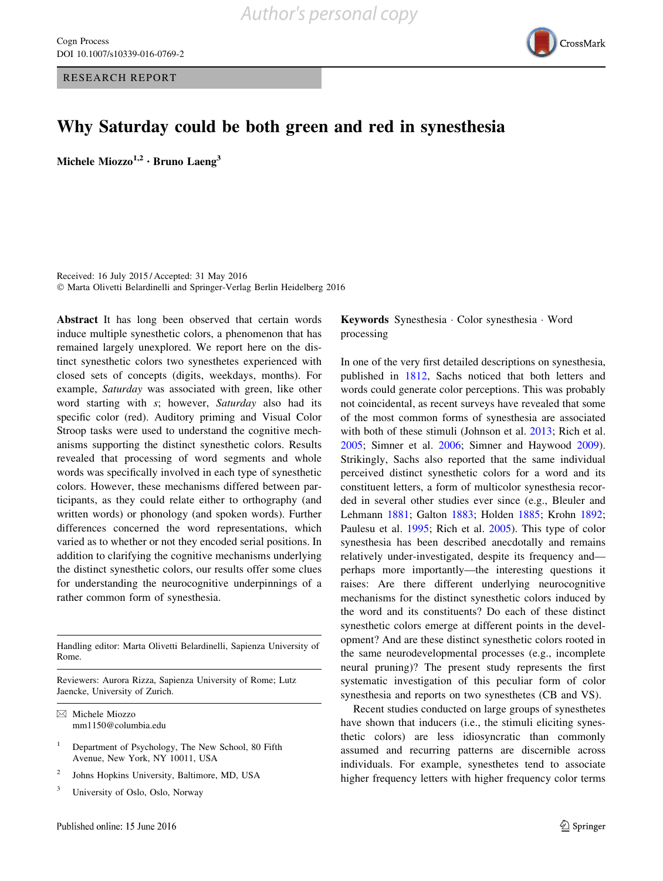RESEARCH REPORT



## Why Saturday could be both green and red in synesthesia

Michele Miozzo<sup>1,2</sup> · Bruno Laeng<sup>3</sup>

Received: 16 July 2015 / Accepted: 31 May 2016 - Marta Olivetti Belardinelli and Springer-Verlag Berlin Heidelberg 2016

Abstract It has long been observed that certain words induce multiple synesthetic colors, a phenomenon that has remained largely unexplored. We report here on the distinct synesthetic colors two synesthetes experienced with closed sets of concepts (digits, weekdays, months). For example, Saturday was associated with green, like other word starting with s; however, Saturday also had its specific color (red). Auditory priming and Visual Color Stroop tasks were used to understand the cognitive mechanisms supporting the distinct synesthetic colors. Results revealed that processing of word segments and whole words was specifically involved in each type of synesthetic colors. However, these mechanisms differed between participants, as they could relate either to orthography (and written words) or phonology (and spoken words). Further differences concerned the word representations, which varied as to whether or not they encoded serial positions. In addition to clarifying the cognitive mechanisms underlying the distinct synesthetic colors, our results offer some clues for understanding the neurocognitive underpinnings of a rather common form of synesthesia.

Handling editor: Marta Olivetti Belardinelli, Sapienza University of Rome.

Reviewers: Aurora Rizza, Sapienza University of Rome; Lutz Jaencke, University of Zurich.

 $\boxtimes$  Michele Miozzo mm1150@columbia.edu

- <sup>2</sup> Johns Hopkins University, Baltimore, MD, USA
- <sup>3</sup> University of Oslo, Oslo, Norway

## Keywords Synesthesia - Color synesthesia - Word processing

In one of the very first detailed descriptions on synesthesia, published in [1812,](#page-19-0) Sachs noticed that both letters and words could generate color perceptions. This was probably not coincidental, as recent surveys have revealed that some of the most common forms of synesthesia are associated with both of these stimuli (Johnson et al. [2013](#page-18-0); Rich et al. [2005](#page-19-0); Simner et al. [2006](#page-19-0); Simner and Haywood [2009](#page-19-0)). Strikingly, Sachs also reported that the same individual perceived distinct synesthetic colors for a word and its constituent letters, a form of multicolor synesthesia recorded in several other studies ever since (e.g., Bleuler and Lehmann [1881;](#page-18-0) Galton [1883;](#page-18-0) Holden [1885](#page-18-0); Krohn [1892](#page-18-0); Paulesu et al. [1995;](#page-19-0) Rich et al. [2005](#page-19-0)). This type of color synesthesia has been described anecdotally and remains relatively under-investigated, despite its frequency and perhaps more importantly—the interesting questions it raises: Are there different underlying neurocognitive mechanisms for the distinct synesthetic colors induced by the word and its constituents? Do each of these distinct synesthetic colors emerge at different points in the development? And are these distinct synesthetic colors rooted in the same neurodevelopmental processes (e.g., incomplete neural pruning)? The present study represents the first systematic investigation of this peculiar form of color synesthesia and reports on two synesthetes (CB and VS).

Recent studies conducted on large groups of synesthetes have shown that inducers (i.e., the stimuli eliciting synesthetic colors) are less idiosyncratic than commonly assumed and recurring patterns are discernible across individuals. For example, synesthetes tend to associate higher frequency letters with higher frequency color terms

<sup>1</sup> Department of Psychology, The New School, 80 Fifth Avenue, New York, NY 10011, USA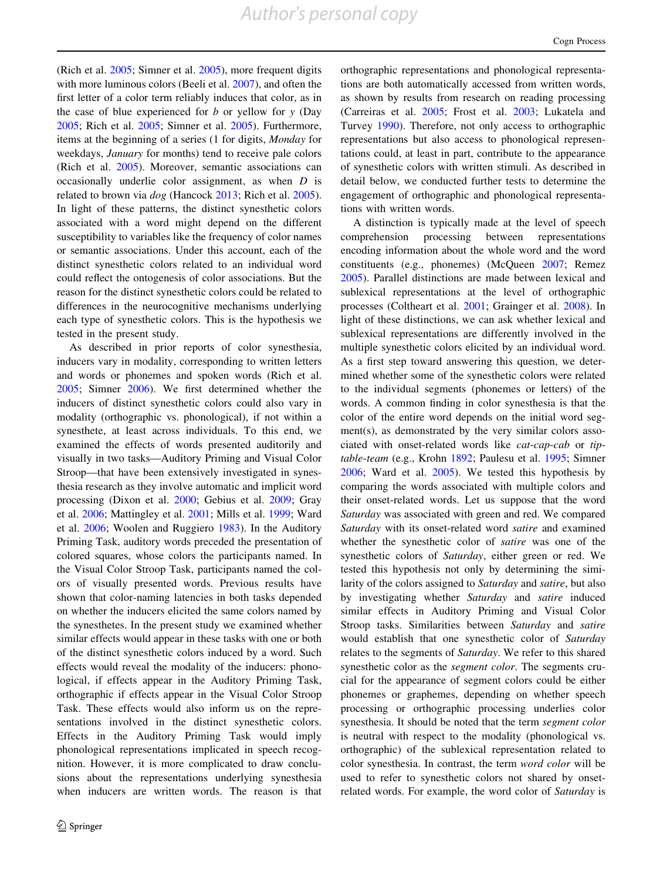(Rich et al.  $2005$ ; Simner et al.  $2005$ ), more frequent digits with more luminous colors (Beeli et al. [2007\)](#page-18-0), and often the first letter of a color term reliably induces that color, as in the case of blue experienced for  $b$  or yellow for  $y$  (Day [2005;](#page-18-0) Rich et al. [2005](#page-19-0); Simner et al. [2005](#page-19-0)). Furthermore, items at the beginning of a series (1 for digits, Monday for weekdays, January for months) tend to receive pale colors (Rich et al. [2005](#page-19-0)). Moreover, semantic associations can occasionally underlie color assignment, as when D is related to brown via dog (Hancock [2013;](#page-18-0) Rich et al. [2005](#page-19-0)). In light of these patterns, the distinct synesthetic colors associated with a word might depend on the different susceptibility to variables like the frequency of color names or semantic associations. Under this account, each of the distinct synesthetic colors related to an individual word could reflect the ontogenesis of color associations. But the reason for the distinct synesthetic colors could be related to differences in the neurocognitive mechanisms underlying each type of synesthetic colors. This is the hypothesis we tested in the present study.

As described in prior reports of color synesthesia, inducers vary in modality, corresponding to written letters and words or phonemes and spoken words (Rich et al. [2005;](#page-19-0) Simner [2006\)](#page-19-0). We first determined whether the inducers of distinct synesthetic colors could also vary in modality (orthographic vs. phonological), if not within a synesthete, at least across individuals. To this end, we examined the effects of words presented auditorily and visually in two tasks—Auditory Priming and Visual Color Stroop—that have been extensively investigated in synesthesia research as they involve automatic and implicit word processing (Dixon et al. [2000](#page-18-0); Gebius et al. [2009](#page-18-0); Gray et al. [2006;](#page-18-0) Mattingley et al. [2001;](#page-19-0) Mills et al. [1999](#page-19-0); Ward et al. [2006](#page-20-0); Woolen and Ruggiero [1983\)](#page-20-0). In the Auditory Priming Task, auditory words preceded the presentation of colored squares, whose colors the participants named. In the Visual Color Stroop Task, participants named the colors of visually presented words. Previous results have shown that color-naming latencies in both tasks depended on whether the inducers elicited the same colors named by the synesthetes. In the present study we examined whether similar effects would appear in these tasks with one or both of the distinct synesthetic colors induced by a word. Such effects would reveal the modality of the inducers: phonological, if effects appear in the Auditory Priming Task, orthographic if effects appear in the Visual Color Stroop Task. These effects would also inform us on the representations involved in the distinct synesthetic colors. Effects in the Auditory Priming Task would imply phonological representations implicated in speech recognition. However, it is more complicated to draw conclusions about the representations underlying synesthesia when inducers are written words. The reason is that orthographic representations and phonological representations are both automatically accessed from written words, as shown by results from research on reading processing (Carreiras et al. [2005](#page-18-0); Frost et al. [2003](#page-18-0); Lukatela and Turvey [1990\)](#page-19-0). Therefore, not only access to orthographic representations but also access to phonological representations could, at least in part, contribute to the appearance of synesthetic colors with written stimuli. As described in detail below, we conducted further tests to determine the engagement of orthographic and phonological representations with written words.

A distinction is typically made at the level of speech comprehension processing between representations encoding information about the whole word and the word constituents (e.g., phonemes) (McQueen [2007](#page-19-0); Remez [2005](#page-19-0)). Parallel distinctions are made between lexical and sublexical representations at the level of orthographic processes (Coltheart et al. [2001;](#page-18-0) Grainger et al. [2008\)](#page-18-0). In light of these distinctions, we can ask whether lexical and sublexical representations are differently involved in the multiple synesthetic colors elicited by an individual word. As a first step toward answering this question, we determined whether some of the synesthetic colors were related to the individual segments (phonemes or letters) of the words. A common finding in color synesthesia is that the color of the entire word depends on the initial word segment(s), as demonstrated by the very similar colors associated with onset-related words like cat-cap-cab or tiptable-team (e.g., Krohn [1892;](#page-18-0) Paulesu et al. [1995](#page-19-0); Simner [2006](#page-19-0); Ward et al. [2005\)](#page-20-0). We tested this hypothesis by comparing the words associated with multiple colors and their onset-related words. Let us suppose that the word Saturday was associated with green and red. We compared Saturday with its onset-related word satire and examined whether the synesthetic color of satire was one of the synesthetic colors of Saturday, either green or red. We tested this hypothesis not only by determining the similarity of the colors assigned to Saturday and satire, but also by investigating whether Saturday and satire induced similar effects in Auditory Priming and Visual Color Stroop tasks. Similarities between Saturday and satire would establish that one synesthetic color of Saturday relates to the segments of Saturday. We refer to this shared synesthetic color as the segment color. The segments crucial for the appearance of segment colors could be either phonemes or graphemes, depending on whether speech processing or orthographic processing underlies color synesthesia. It should be noted that the term segment color is neutral with respect to the modality (phonological vs. orthographic) of the sublexical representation related to color synesthesia. In contrast, the term word color will be used to refer to synesthetic colors not shared by onsetrelated words. For example, the word color of Saturday is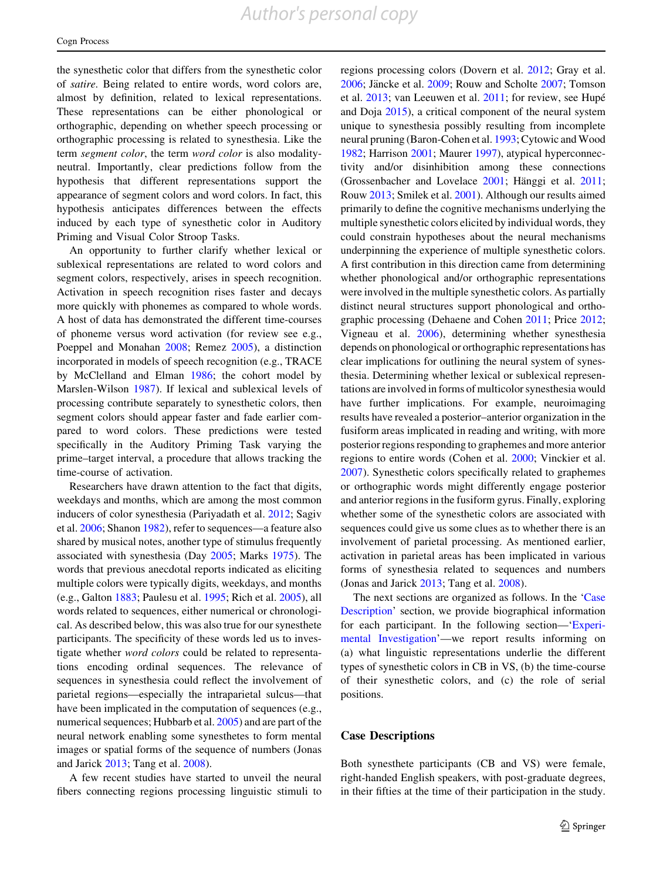<span id="page-4-0"></span>the synesthetic color that differs from the synesthetic color of satire. Being related to entire words, word colors are, almost by definition, related to lexical representations. These representations can be either phonological or orthographic, depending on whether speech processing or orthographic processing is related to synesthesia. Like the term segment color, the term word color is also modalityneutral. Importantly, clear predictions follow from the hypothesis that different representations support the appearance of segment colors and word colors. In fact, this hypothesis anticipates differences between the effects induced by each type of synesthetic color in Auditory Priming and Visual Color Stroop Tasks.

An opportunity to further clarify whether lexical or sublexical representations are related to word colors and segment colors, respectively, arises in speech recognition. Activation in speech recognition rises faster and decays more quickly with phonemes as compared to whole words. A host of data has demonstrated the different time-courses of phoneme versus word activation (for review see e.g., Poeppel and Monahan [2008](#page-19-0); Remez [2005\)](#page-19-0), a distinction incorporated in models of speech recognition (e.g., TRACE by McClelland and Elman [1986](#page-19-0); the cohort model by Marslen-Wilson [1987\)](#page-19-0). If lexical and sublexical levels of processing contribute separately to synesthetic colors, then segment colors should appear faster and fade earlier compared to word colors. These predictions were tested specifically in the Auditory Priming Task varying the prime–target interval, a procedure that allows tracking the time-course of activation.

Researchers have drawn attention to the fact that digits, weekdays and months, which are among the most common inducers of color synesthesia (Pariyadath et al. [2012;](#page-19-0) Sagiv et al. [2006;](#page-19-0) Shanon [1982](#page-19-0)), refer to sequences—a feature also shared by musical notes, another type of stimulus frequently associated with synesthesia (Day [2005](#page-18-0); Marks [1975](#page-19-0)). The words that previous anecdotal reports indicated as eliciting multiple colors were typically digits, weekdays, and months (e.g., Galton [1883](#page-18-0); Paulesu et al. [1995](#page-19-0); Rich et al. [2005\)](#page-19-0), all words related to sequences, either numerical or chronological. As described below, this was also true for our synesthete participants. The specificity of these words led us to investigate whether word colors could be related to representations encoding ordinal sequences. The relevance of sequences in synesthesia could reflect the involvement of parietal regions—especially the intraparietal sulcus—that have been implicated in the computation of sequences (e.g., numerical sequences; Hubbarb et al. [2005\)](#page-18-0) and are part of the neural network enabling some synesthetes to form mental images or spatial forms of the sequence of numbers (Jonas and Jarick [2013](#page-18-0); Tang et al. [2008\)](#page-19-0).

A few recent studies have started to unveil the neural fibers connecting regions processing linguistic stimuli to regions processing colors (Dovern et al. [2012;](#page-18-0) Gray et al.  $2006$ ; Jäncke et al.  $2009$ ; Rouw and Scholte  $2007$ ; Tomson et al. [2013;](#page-19-0) van Leeuwen et al. [2011](#page-19-0); for review, see Hupé and Doja [2015](#page-18-0)), a critical component of the neural system unique to synesthesia possibly resulting from incomplete neural pruning (Baron-Cohen et al. [1993](#page-18-0); Cytowic and Wood [1982](#page-18-0); Harrison [2001](#page-18-0); Maurer [1997\)](#page-19-0), atypical hyperconnectivity and/or disinhibition among these connections (Grossenbacher and Lovelace  $2001$ ; Hänggi et al.  $2011$ ; Rouw [2013](#page-19-0); Smilek et al. [2001](#page-19-0)). Although our results aimed primarily to define the cognitive mechanisms underlying the multiple synesthetic colors elicited by individual words, they could constrain hypotheses about the neural mechanisms underpinning the experience of multiple synesthetic colors. A first contribution in this direction came from determining whether phonological and/or orthographic representations were involved in the multiple synesthetic colors. As partially distinct neural structures support phonological and orthographic processing (Dehaene and Cohen [2011](#page-18-0); Price [2012](#page-19-0); Vigneau et al. [2006\)](#page-20-0), determining whether synesthesia depends on phonological or orthographic representations has clear implications for outlining the neural system of synesthesia. Determining whether lexical or sublexical representations are involved in forms of multicolor synesthesia would have further implications. For example, neuroimaging results have revealed a posterior–anterior organization in the fusiform areas implicated in reading and writing, with more posterior regions responding to graphemes and more anterior regions to entire words (Cohen et al. [2000;](#page-18-0) Vinckier et al. [2007](#page-20-0)). Synesthetic colors specifically related to graphemes or orthographic words might differently engage posterior and anterior regions in the fusiform gyrus. Finally, exploring whether some of the synesthetic colors are associated with sequences could give us some clues as to whether there is an involvement of parietal processing. As mentioned earlier, activation in parietal areas has been implicated in various forms of synesthesia related to sequences and numbers (Jonas and Jarick [2013](#page-18-0); Tang et al. [2008\)](#page-19-0).

The next sections are organized as follows. In the 'Case Description' section, we provide biographical information for each participant. In the following section—['Experi](#page-5-0)[mental Investigation](#page-5-0)'—we report results informing on (a) what linguistic representations underlie the different types of synesthetic colors in CB in VS, (b) the time-course of their synesthetic colors, and (c) the role of serial positions.

## Case Descriptions

Both synesthete participants (CB and VS) were female, right-handed English speakers, with post-graduate degrees, in their fifties at the time of their participation in the study.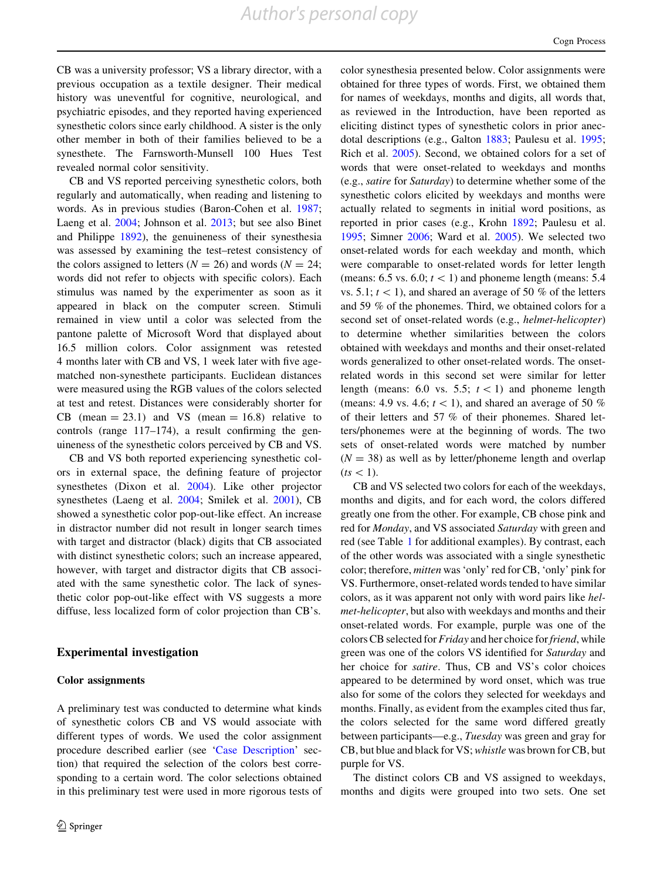*Author's personal copy*

<span id="page-5-0"></span>CB was a university professor; VS a library director, with a previous occupation as a textile designer. Their medical history was uneventful for cognitive, neurological, and psychiatric episodes, and they reported having experienced synesthetic colors since early childhood. A sister is the only other member in both of their families believed to be a synesthete. The Farnsworth-Munsell 100 Hues Test revealed normal color sensitivity.

CB and VS reported perceiving synesthetic colors, both regularly and automatically, when reading and listening to words. As in previous studies (Baron-Cohen et al. [1987](#page-17-0); Laeng et al. [2004](#page-18-0); Johnson et al. [2013](#page-18-0); but see also Binet and Philippe [1892\)](#page-18-0), the genuineness of their synesthesia was assessed by examining the test–retest consistency of the colors assigned to letters ( $N = 26$ ) and words ( $N = 24$ ; words did not refer to objects with specific colors). Each stimulus was named by the experimenter as soon as it appeared in black on the computer screen. Stimuli remained in view until a color was selected from the pantone palette of Microsoft Word that displayed about 16.5 million colors. Color assignment was retested 4 months later with CB and VS, 1 week later with five agematched non-synesthete participants. Euclidean distances were measured using the RGB values of the colors selected at test and retest. Distances were considerably shorter for CB (mean  $= 23.1$ ) and VS (mean  $= 16.8$ ) relative to controls (range 117–174), a result confirming the genuineness of the synesthetic colors perceived by CB and VS.

CB and VS both reported experiencing synesthetic colors in external space, the defining feature of projector synesthetes (Dixon et al. [2004](#page-18-0)). Like other projector synesthetes (Laeng et al. [2004;](#page-18-0) Smilek et al. [2001\)](#page-19-0), CB showed a synesthetic color pop-out-like effect. An increase in distractor number did not result in longer search times with target and distractor (black) digits that CB associated with distinct synesthetic colors; such an increase appeared, however, with target and distractor digits that CB associated with the same synesthetic color. The lack of synesthetic color pop-out-like effect with VS suggests a more diffuse, less localized form of color projection than CB's.

## Experimental investigation

#### Color assignments

A preliminary test was conducted to determine what kinds of synesthetic colors CB and VS would associate with different types of words. We used the color assignment procedure described earlier (see '[Case Description'](#page-4-0) section) that required the selection of the colors best corresponding to a certain word. The color selections obtained in this preliminary test were used in more rigorous tests of color synesthesia presented below. Color assignments were obtained for three types of words. First, we obtained them for names of weekdays, months and digits, all words that, as reviewed in the Introduction, have been reported as eliciting distinct types of synesthetic colors in prior anecdotal descriptions (e.g., Galton [1883](#page-18-0); Paulesu et al. [1995](#page-19-0); Rich et al. [2005\)](#page-19-0). Second, we obtained colors for a set of words that were onset-related to weekdays and months (e.g., satire for Saturday) to determine whether some of the synesthetic colors elicited by weekdays and months were actually related to segments in initial word positions, as reported in prior cases (e.g., Krohn [1892](#page-18-0); Paulesu et al. [1995](#page-19-0); Simner [2006](#page-19-0); Ward et al. [2005\)](#page-20-0). We selected two onset-related words for each weekday and month, which were comparable to onset-related words for letter length (means: 6.5 vs. 6.0;  $t \leq 1$ ) and phoneme length (means: 5.4) vs. 5.1;  $t \leq 1$ ), and shared an average of 50 % of the letters and 59 % of the phonemes. Third, we obtained colors for a second set of onset-related words (e.g., helmet-helicopter) to determine whether similarities between the colors obtained with weekdays and months and their onset-related words generalized to other onset-related words. The onsetrelated words in this second set were similar for letter length (means: 6.0 vs. 5.5;  $t \lt 1$ ) and phoneme length (means: 4.9 vs. 4.6;  $t \leq 1$ ), and shared an average of 50 % of their letters and 57 % of their phonemes. Shared letters/phonemes were at the beginning of words. The two sets of onset-related words were matched by number  $(N = 38)$  as well as by letter/phoneme length and overlap  $(ts<1).$ 

CB and VS selected two colors for each of the weekdays, months and digits, and for each word, the colors differed greatly one from the other. For example, CB chose pink and red for Monday, and VS associated Saturday with green and red (see Table [1](#page-6-0) for additional examples). By contrast, each of the other words was associated with a single synesthetic color; therefore, mitten was 'only' red for CB, 'only' pink for VS. Furthermore, onset-related words tended to have similar colors, as it was apparent not only with word pairs like helmet-helicopter, but also with weekdays and months and their onset-related words. For example, purple was one of the colors CB selected for *Friday* and her choice for *friend*, while green was one of the colors VS identified for Saturday and her choice for satire. Thus, CB and VS's color choices appeared to be determined by word onset, which was true also for some of the colors they selected for weekdays and months. Finally, as evident from the examples cited thus far, the colors selected for the same word differed greatly between participants—e.g., Tuesday was green and gray for CB, but blue and black for VS; whistle was brown for CB, but purple for VS.

The distinct colors CB and VS assigned to weekdays, months and digits were grouped into two sets. One set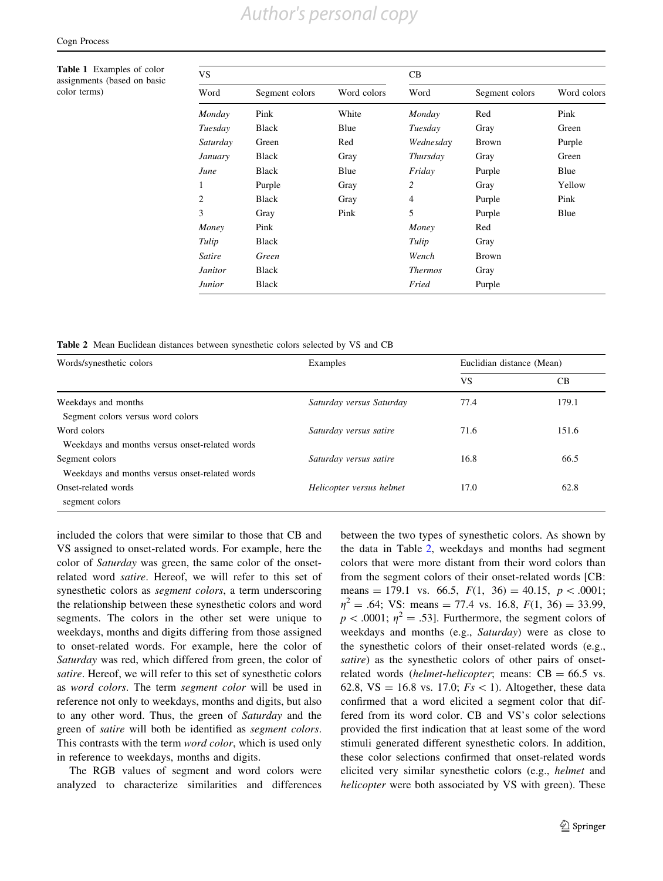<span id="page-6-0"></span>Table 1 Examples of color assignments (based on basic color terms)

| VS            |                |             | CB             |                |             |  |
|---------------|----------------|-------------|----------------|----------------|-------------|--|
| Word          | Segment colors | Word colors | Word           | Segment colors | Word colors |  |
| Monday        | Pink           | White       | Monday         | Red            | Pink        |  |
| Tuesday       | <b>Black</b>   | Blue        | Tuesday        | Gray           | Green       |  |
| Saturday      | Green          | Red         | Wednesday      | <b>Brown</b>   | Purple      |  |
| January       | Black          | Gray        | Thursday       | Gray           | Green       |  |
| June          | <b>Black</b>   | Blue        | Friday         | Purple         | Blue        |  |
| 1             | Purple         | Gray        | 2              | Gray           | Yellow      |  |
| 2             | <b>Black</b>   | Gray        | 4              | Purple         | Pink        |  |
| 3             | Gray           | Pink        | 5              | Purple         | Blue        |  |
| Money         | Pink           |             | Money          | Red            |             |  |
| Tulip         | <b>Black</b>   |             | Tulip          | Gray           |             |  |
| Satire        | Green          |             | Wench          | <b>Brown</b>   |             |  |
| Janitor       | Black          |             | <b>Thermos</b> | Gray           |             |  |
| <b>Junior</b> | Black          |             | Fried          | Purple         |             |  |

Table 2 Mean Euclidean distances between synesthetic colors selected by VS and CB

| Words/synesthetic colors                       | Examples                 | Euclidian distance (Mean) |       |
|------------------------------------------------|--------------------------|---------------------------|-------|
|                                                |                          | <b>VS</b>                 | CВ    |
| Weekdays and months                            | Saturday versus Saturday | 77.4                      | 179.1 |
| Segment colors versus word colors              |                          |                           |       |
| Word colors                                    | Saturday versus satire   | 71.6                      | 151.6 |
| Weekdays and months versus onset-related words |                          |                           |       |
| Segment colors                                 | Saturday versus satire   | 16.8                      | 66.5  |
| Weekdays and months versus onset-related words |                          |                           |       |
| Onset-related words                            | Helicopter versus helmet | 17.0                      | 62.8  |
| segment colors                                 |                          |                           |       |

included the colors that were similar to those that CB and VS assigned to onset-related words. For example, here the color of Saturday was green, the same color of the onsetrelated word satire. Hereof, we will refer to this set of synesthetic colors as *segment colors*, a term underscoring the relationship between these synesthetic colors and word segments. The colors in the other set were unique to weekdays, months and digits differing from those assigned to onset-related words. For example, here the color of Saturday was red, which differed from green, the color of satire. Hereof, we will refer to this set of synesthetic colors as word colors. The term segment color will be used in reference not only to weekdays, months and digits, but also to any other word. Thus, the green of Saturday and the green of satire will both be identified as segment colors. This contrasts with the term word color, which is used only in reference to weekdays, months and digits.

The RGB values of segment and word colors were analyzed to characterize similarities and differences between the two types of synesthetic colors. As shown by the data in Table 2, weekdays and months had segment colors that were more distant from their word colors than from the segment colors of their onset-related words [CB: means = 179.1 vs. 66.5,  $F(1, 36) = 40.15$ ,  $p < .0001$ ;  $\eta^2 = .64$ ; VS: means = 77.4 vs. 16.8,  $F(1, 36) = 33.99$ ,  $p < .0001$ ;  $\eta^2 = .53$ ]. Furthermore, the segment colors of weekdays and months (e.g., Saturday) were as close to the synesthetic colors of their onset-related words (e.g., satire) as the synesthetic colors of other pairs of onsetrelated words (helmet-helicopter; means:  $CB = 66.5$  vs. 62.8,  $VS = 16.8$  vs. 17.0;  $Fs < 1$ ). Altogether, these data confirmed that a word elicited a segment color that differed from its word color. CB and VS's color selections provided the first indication that at least some of the word stimuli generated different synesthetic colors. In addition, these color selections confirmed that onset-related words elicited very similar synesthetic colors (e.g., helmet and helicopter were both associated by VS with green). These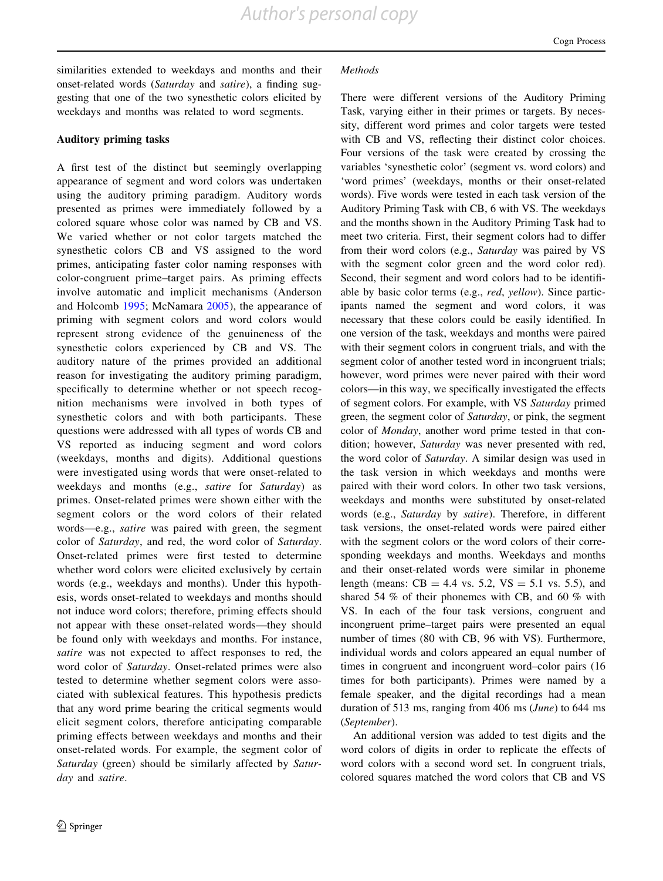similarities extended to weekdays and months and their onset-related words (Saturday and satire), a finding suggesting that one of the two synesthetic colors elicited by weekdays and months was related to word segments.

## Auditory priming tasks

A first test of the distinct but seemingly overlapping appearance of segment and word colors was undertaken using the auditory priming paradigm. Auditory words presented as primes were immediately followed by a colored square whose color was named by CB and VS. We varied whether or not color targets matched the synesthetic colors CB and VS assigned to the word primes, anticipating faster color naming responses with color-congruent prime–target pairs. As priming effects involve automatic and implicit mechanisms (Anderson and Holcomb [1995;](#page-17-0) McNamara [2005](#page-19-0)), the appearance of priming with segment colors and word colors would represent strong evidence of the genuineness of the synesthetic colors experienced by CB and VS. The auditory nature of the primes provided an additional reason for investigating the auditory priming paradigm, specifically to determine whether or not speech recognition mechanisms were involved in both types of synesthetic colors and with both participants. These questions were addressed with all types of words CB and VS reported as inducing segment and word colors (weekdays, months and digits). Additional questions were investigated using words that were onset-related to weekdays and months (e.g., satire for Saturday) as primes. Onset-related primes were shown either with the segment colors or the word colors of their related words—e.g., satire was paired with green, the segment color of Saturday, and red, the word color of Saturday. Onset-related primes were first tested to determine whether word colors were elicited exclusively by certain words (e.g., weekdays and months). Under this hypothesis, words onset-related to weekdays and months should not induce word colors; therefore, priming effects should not appear with these onset-related words—they should be found only with weekdays and months. For instance, satire was not expected to affect responses to red, the word color of Saturday. Onset-related primes were also tested to determine whether segment colors were associated with sublexical features. This hypothesis predicts that any word prime bearing the critical segments would elicit segment colors, therefore anticipating comparable priming effects between weekdays and months and their onset-related words. For example, the segment color of Saturday (green) should be similarly affected by Saturday and satire.

#### **Methods**

There were different versions of the Auditory Priming Task, varying either in their primes or targets. By necessity, different word primes and color targets were tested with CB and VS, reflecting their distinct color choices. Four versions of the task were created by crossing the variables 'synesthetic color' (segment vs. word colors) and 'word primes' (weekdays, months or their onset-related words). Five words were tested in each task version of the Auditory Priming Task with CB, 6 with VS. The weekdays and the months shown in the Auditory Priming Task had to meet two criteria. First, their segment colors had to differ from their word colors (e.g., Saturday was paired by VS with the segment color green and the word color red). Second, their segment and word colors had to be identifiable by basic color terms (e.g., red, yellow). Since participants named the segment and word colors, it was necessary that these colors could be easily identified. In one version of the task, weekdays and months were paired with their segment colors in congruent trials, and with the segment color of another tested word in incongruent trials; however, word primes were never paired with their word colors—in this way, we specifically investigated the effects of segment colors. For example, with VS Saturday primed green, the segment color of Saturday, or pink, the segment color of Monday, another word prime tested in that condition; however, Saturday was never presented with red, the word color of Saturday. A similar design was used in the task version in which weekdays and months were paired with their word colors. In other two task versions, weekdays and months were substituted by onset-related words (e.g., Saturday by satire). Therefore, in different task versions, the onset-related words were paired either with the segment colors or the word colors of their corresponding weekdays and months. Weekdays and months and their onset-related words were similar in phoneme length (means:  $CB = 4.4$  vs. 5.2,  $VS = 5.1$  vs. 5.5), and shared 54 % of their phonemes with CB, and 60 % with VS. In each of the four task versions, congruent and incongruent prime–target pairs were presented an equal number of times (80 with CB, 96 with VS). Furthermore, individual words and colors appeared an equal number of times in congruent and incongruent word–color pairs (16 times for both participants). Primes were named by a female speaker, and the digital recordings had a mean duration of 513 ms, ranging from 406 ms (June) to 644 ms (September).

An additional version was added to test digits and the word colors of digits in order to replicate the effects of word colors with a second word set. In congruent trials, colored squares matched the word colors that CB and VS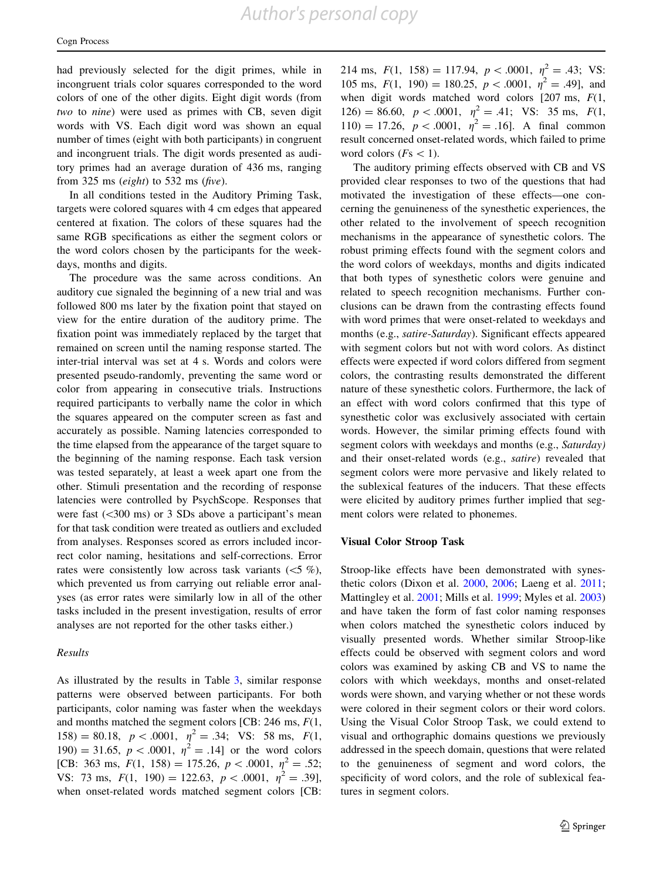had previously selected for the digit primes, while in incongruent trials color squares corresponded to the word colors of one of the other digits. Eight digit words (from two to nine) were used as primes with CB, seven digit words with VS. Each digit word was shown an equal number of times (eight with both participants) in congruent and incongruent trials. The digit words presented as auditory primes had an average duration of 436 ms, ranging from 325 ms (eight) to 532 ms (five).

In all conditions tested in the Auditory Priming Task, targets were colored squares with 4 cm edges that appeared centered at fixation. The colors of these squares had the same RGB specifications as either the segment colors or the word colors chosen by the participants for the weekdays, months and digits.

The procedure was the same across conditions. An auditory cue signaled the beginning of a new trial and was followed 800 ms later by the fixation point that stayed on view for the entire duration of the auditory prime. The fixation point was immediately replaced by the target that remained on screen until the naming response started. The inter-trial interval was set at 4 s. Words and colors were presented pseudo-randomly, preventing the same word or color from appearing in consecutive trials. Instructions required participants to verbally name the color in which the squares appeared on the computer screen as fast and accurately as possible. Naming latencies corresponded to the time elapsed from the appearance of the target square to the beginning of the naming response. Each task version was tested separately, at least a week apart one from the other. Stimuli presentation and the recording of response latencies were controlled by PsychScope. Responses that were fast  $(<300 \text{ ms})$  or 3 SDs above a participant's mean for that task condition were treated as outliers and excluded from analyses. Responses scored as errors included incorrect color naming, hesitations and self-corrections. Error rates were consistently low across task variants  $(<5 \%$ ), which prevented us from carrying out reliable error analyses (as error rates were similarly low in all of the other tasks included in the present investigation, results of error analyses are not reported for the other tasks either.)

## Results

As illustrated by the results in Table [3](#page-9-0), similar response patterns were observed between participants. For both participants, color naming was faster when the weekdays and months matched the segment colors [CB: 246 ms,  $F(1, 1)$ ] 158) = 80.18,  $p < .0001$ ,  $\eta^2 = .34$ ; VS: 58 ms,  $F(1,$ 190) = 31.65,  $p < .0001$ ,  $\eta^2 = .14$ ] or the word colors [CB: 363 ms,  $F(1, 158) = 175.26, p < .0001, \eta^2 = .52;$ VS: 73 ms,  $F(1, 190) = 122.63, p < .0001, \eta^2 = .39$ ], when onset-related words matched segment colors [CB: 214 ms,  $F(1, 158) = 117.94$ ,  $p < .0001$ ,  $\eta^2 = .43$ ; VS: 105 ms,  $F(1, 190) = 180.25$ ,  $p < .0001$ ,  $\eta^2 = .49$ ], and when digit words matched word colors  $[207 \text{ ms}, F(1,$ 126) = 86.60,  $p < .0001$ ,  $\eta^2 = .41$ ; VS: 35 ms,  $F(1,$  $110) = 17.26, p < .0001, \eta^2 = .16$ . A final common result concerned onset-related words, which failed to prime word colors ( $Fs < 1$ ).

The auditory priming effects observed with CB and VS provided clear responses to two of the questions that had motivated the investigation of these effects—one concerning the genuineness of the synesthetic experiences, the other related to the involvement of speech recognition mechanisms in the appearance of synesthetic colors. The robust priming effects found with the segment colors and the word colors of weekdays, months and digits indicated that both types of synesthetic colors were genuine and related to speech recognition mechanisms. Further conclusions can be drawn from the contrasting effects found with word primes that were onset-related to weekdays and months (e.g., satire-Saturday). Significant effects appeared with segment colors but not with word colors. As distinct effects were expected if word colors differed from segment colors, the contrasting results demonstrated the different nature of these synesthetic colors. Furthermore, the lack of an effect with word colors confirmed that this type of synesthetic color was exclusively associated with certain words. However, the similar priming effects found with segment colors with weekdays and months (e.g., Saturday) and their onset-related words (e.g., satire) revealed that segment colors were more pervasive and likely related to the sublexical features of the inducers. That these effects were elicited by auditory primes further implied that segment colors were related to phonemes.

#### Visual Color Stroop Task

Stroop-like effects have been demonstrated with synesthetic colors (Dixon et al. [2000](#page-18-0), [2006](#page-18-0); Laeng et al. [2011](#page-19-0); Mattingley et al. [2001;](#page-19-0) Mills et al. [1999;](#page-19-0) Myles et al. [2003\)](#page-19-0) and have taken the form of fast color naming responses when colors matched the synesthetic colors induced by visually presented words. Whether similar Stroop-like effects could be observed with segment colors and word colors was examined by asking CB and VS to name the colors with which weekdays, months and onset-related words were shown, and varying whether or not these words were colored in their segment colors or their word colors. Using the Visual Color Stroop Task, we could extend to visual and orthographic domains questions we previously addressed in the speech domain, questions that were related to the genuineness of segment and word colors, the specificity of word colors, and the role of sublexical features in segment colors.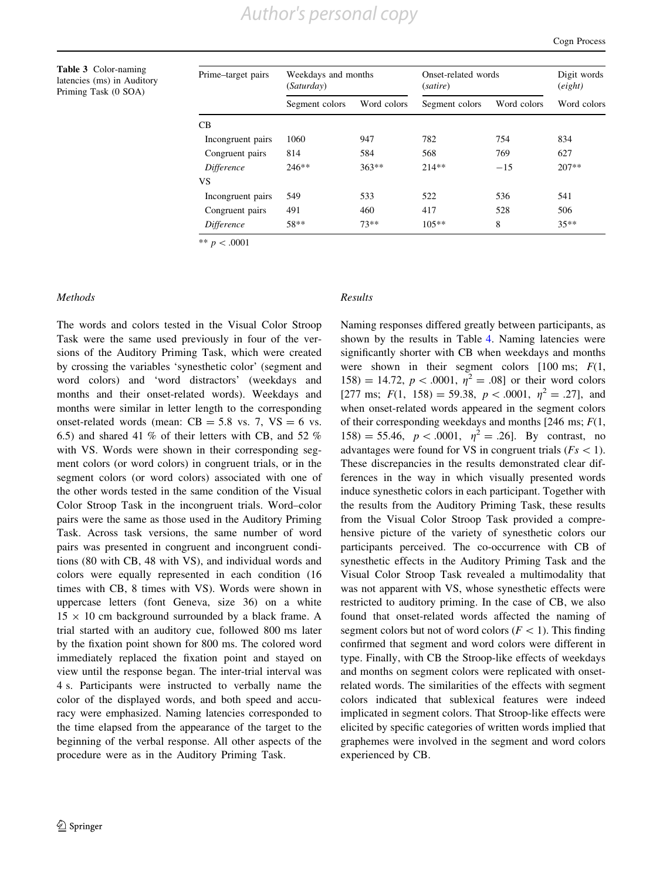Cogn Process

<span id="page-9-0"></span>Table 3 Color-naming latencies (ms) in Auditory Priming Task (0 SOA)

| Prime-target pairs | Weekdays and months<br>(Saturday) |             | Onset-related words<br>(satire) |             | Digit words<br>(eight) |  |
|--------------------|-----------------------------------|-------------|---------------------------------|-------------|------------------------|--|
|                    | Segment colors                    | Word colors | Segment colors                  | Word colors | Word colors            |  |
| CB.                |                                   |             |                                 |             |                        |  |
| Incongruent pairs  | 1060                              | 947         | 782                             | 754         | 834                    |  |
| Congruent pairs    | 814                               | 584         | 568                             | 769         | 627                    |  |
| Difference         | $246**$                           | $363**$     | $214**$                         | $-15$       | $207**$                |  |
| VS                 |                                   |             |                                 |             |                        |  |
| Incongruent pairs  | 549                               | 533         | 522                             | 536         | 541                    |  |
| Congruent pairs    | 491                               | 460         | 417                             | 528         | 506                    |  |
| Difference         | 58**                              | $73**$      | $105**$                         | 8           | $35**$                 |  |

\*\*  $p < .0001$ 

## Methods

The words and colors tested in the Visual Color Stroop Task were the same used previously in four of the versions of the Auditory Priming Task, which were created by crossing the variables 'synesthetic color' (segment and word colors) and 'word distractors' (weekdays and months and their onset-related words). Weekdays and months were similar in letter length to the corresponding onset-related words (mean:  $CB = 5.8$  vs. 7,  $VS = 6$  vs. 6.5) and shared 41 % of their letters with CB, and 52 % with VS. Words were shown in their corresponding segment colors (or word colors) in congruent trials, or in the segment colors (or word colors) associated with one of the other words tested in the same condition of the Visual Color Stroop Task in the incongruent trials. Word–color pairs were the same as those used in the Auditory Priming Task. Across task versions, the same number of word pairs was presented in congruent and incongruent conditions (80 with CB, 48 with VS), and individual words and colors were equally represented in each condition (16 times with CB, 8 times with VS). Words were shown in uppercase letters (font Geneva, size 36) on a white  $15 \times 10$  cm background surrounded by a black frame. A trial started with an auditory cue, followed 800 ms later by the fixation point shown for 800 ms. The colored word immediately replaced the fixation point and stayed on view until the response began. The inter-trial interval was 4 s. Participants were instructed to verbally name the color of the displayed words, and both speed and accuracy were emphasized. Naming latencies corresponded to the time elapsed from the appearance of the target to the beginning of the verbal response. All other aspects of the procedure were as in the Auditory Priming Task.

## Results

Naming responses differed greatly between participants, as shown by the results in Table [4.](#page-10-0) Naming latencies were significantly shorter with CB when weekdays and months were shown in their segment colors  $[100 \text{ ms}; F(1,$ 158) = 14.72,  $p < .0001$ ,  $\eta^2 = .08$ ] or their word colors [277 ms;  $F(1, 158) = 59.38, p < .0001, \eta^2 = .27$ ], and when onset-related words appeared in the segment colors of their corresponding weekdays and months [246 ms;  $F(1,$  $158$ ) = 55.46,  $p < .0001$ ,  $\eta^2 = .26$ ]. By contrast, no advantages were found for VS in congruent trials ( $Fs < 1$ ). These discrepancies in the results demonstrated clear differences in the way in which visually presented words induce synesthetic colors in each participant. Together with the results from the Auditory Priming Task, these results from the Visual Color Stroop Task provided a comprehensive picture of the variety of synesthetic colors our participants perceived. The co-occurrence with CB of synesthetic effects in the Auditory Priming Task and the Visual Color Stroop Task revealed a multimodality that was not apparent with VS, whose synesthetic effects were restricted to auditory priming. In the case of CB, we also found that onset-related words affected the naming of segment colors but not of word colors ( $F<1$ ). This finding confirmed that segment and word colors were different in type. Finally, with CB the Stroop-like effects of weekdays and months on segment colors were replicated with onsetrelated words. The similarities of the effects with segment colors indicated that sublexical features were indeed implicated in segment colors. That Stroop-like effects were elicited by specific categories of written words implied that graphemes were involved in the segment and word colors experienced by CB.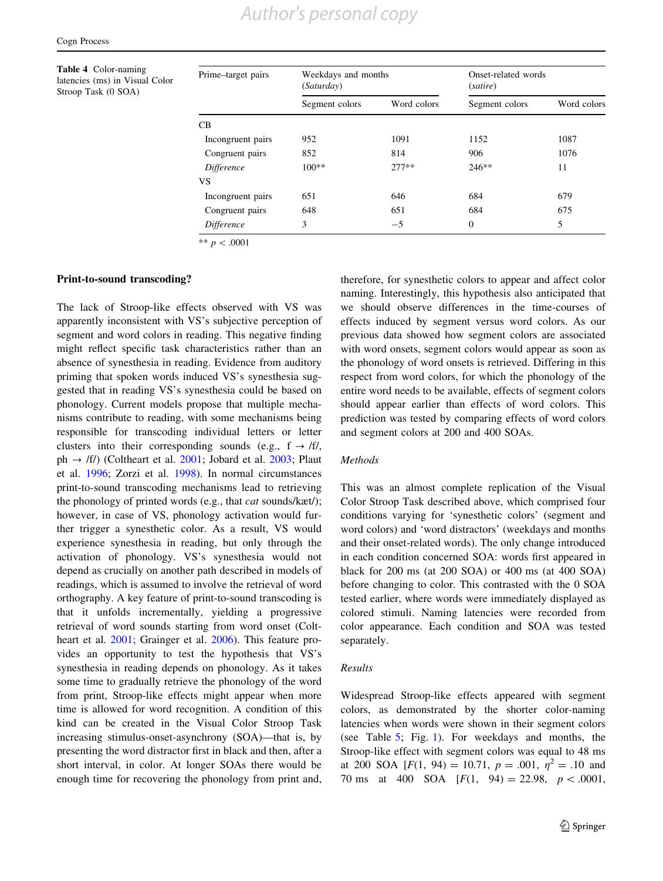<span id="page-10-0"></span>Table 4 Color-naming latencies (ms) in Visual Color Stroop Task (0 SOA)

| Prime-target pairs | Weekdays and months<br><i>(Saturday)</i> |             | Onset-related words<br>(satire) |             |  |
|--------------------|------------------------------------------|-------------|---------------------------------|-------------|--|
|                    | Segment colors                           | Word colors | Segment colors                  | Word colors |  |
| CB                 |                                          |             |                                 |             |  |
| Incongruent pairs  | 952                                      | 1091        | 1152                            | 1087        |  |
| Congruent pairs    | 852                                      | 814         | 906                             | 1076        |  |
| <i>Difference</i>  | $100**$                                  | $277**$     | $246**$                         | 11          |  |
| VS                 |                                          |             |                                 |             |  |
| Incongruent pairs  | 651                                      | 646         | 684                             | 679         |  |
| Congruent pairs    | 648                                      | 651         | 684                             | 675         |  |
| Difference         | 3                                        | $-5$        | $\Omega$                        | 5           |  |

\*\*  $p < .0001$ 

## Print-to-sound transcoding?

The lack of Stroop-like effects observed with VS was apparently inconsistent with VS's subjective perception of segment and word colors in reading. This negative finding might reflect specific task characteristics rather than an absence of synesthesia in reading. Evidence from auditory priming that spoken words induced VS's synesthesia suggested that in reading VS's synesthesia could be based on phonology. Current models propose that multiple mechanisms contribute to reading, with some mechanisms being responsible for transcoding individual letters or letter clusters into their corresponding sounds (e.g.,  $f \rightarrow /f$ /, ph  $\rightarrow$  /f/) (Coltheart et al. [2001;](#page-18-0) Jobard et al. [2003](#page-18-0); Plaut et al. [1996](#page-19-0); Zorzi et al. [1998](#page-20-0)). In normal circumstances print-to-sound transcoding mechanisms lead to retrieving the phonology of printed words (e.g., that cat sounds/kæt/); however, in case of VS, phonology activation would further trigger a synesthetic color. As a result, VS would experience synesthesia in reading, but only through the activation of phonology. VS's synesthesia would not depend as crucially on another path described in models of readings, which is assumed to involve the retrieval of word orthography. A key feature of print-to-sound transcoding is that it unfolds incrementally, yielding a progressive retrieval of word sounds starting from word onset (Colt-heart et al. [2001](#page-18-0); Grainger et al. [2006\)](#page-18-0). This feature provides an opportunity to test the hypothesis that VS's synesthesia in reading depends on phonology. As it takes some time to gradually retrieve the phonology of the word from print, Stroop-like effects might appear when more time is allowed for word recognition. A condition of this kind can be created in the Visual Color Stroop Task increasing stimulus-onset-asynchrony (SOA)—that is, by presenting the word distractor first in black and then, after a short interval, in color. At longer SOAs there would be enough time for recovering the phonology from print and, therefore, for synesthetic colors to appear and affect color naming. Interestingly, this hypothesis also anticipated that we should observe differences in the time-courses of effects induced by segment versus word colors. As our previous data showed how segment colors are associated with word onsets, segment colors would appear as soon as the phonology of word onsets is retrieved. Differing in this respect from word colors, for which the phonology of the entire word needs to be available, effects of segment colors should appear earlier than effects of word colors. This prediction was tested by comparing effects of word colors and segment colors at 200 and 400 SOAs.

## Methods

This was an almost complete replication of the Visual Color Stroop Task described above, which comprised four conditions varying for 'synesthetic colors' (segment and word colors) and 'word distractors' (weekdays and months and their onset-related words). The only change introduced in each condition concerned SOA: words first appeared in black for 200 ms (at 200 SOA) or 400 ms (at 400 SOA) before changing to color. This contrasted with the 0 SOA tested earlier, where words were immediately displayed as colored stimuli. Naming latencies were recorded from color appearance. Each condition and SOA was tested separately.

## Results

Widespread Stroop-like effects appeared with segment colors, as demonstrated by the shorter color-naming latencies when words were shown in their segment colors (see Table [5](#page-11-0); Fig. [1\)](#page-11-0). For weekdays and months, the Stroop-like effect with segment colors was equal to 48 ms at 200 SOA [ $F(1, 94) = 10.71$ ,  $p = .001$ ,  $\eta^2 = .10$  and 70 ms at 400 SOA  $[F(1, 94) = 22.98, p < .0001,$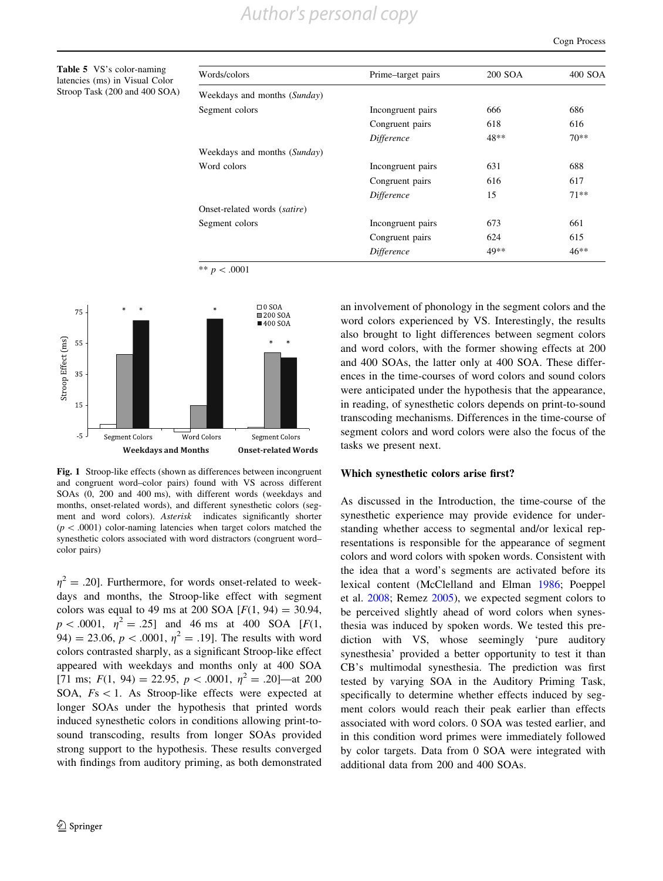<span id="page-11-0"></span>Table 5 VS's color-naming latencies (ms) in Visual Co. Stroop Task (200 and 400 S

| Words/colors                 | Prime-target pairs | 200 SOA | 400 SOA |
|------------------------------|--------------------|---------|---------|
| Weekdays and months (Sunday) |                    |         |         |
| Segment colors               | Incongruent pairs  | 666     | 686     |
|                              | Congruent pairs    | 618     | 616     |
|                              | Difference         | 48**    | $70**$  |
| Weekdays and months (Sunday) |                    |         |         |
| Word colors                  | Incongruent pairs  | 631     | 688     |
|                              | Congruent pairs    | 616     | 617     |
|                              | <i>Difference</i>  | 15      | $71**$  |
| Onset-related words (satire) |                    |         |         |
| Segment colors               | Incongruent pairs  | 673     | 661     |
|                              | Congruent pairs    | 624     | 615     |
|                              | <i>Difference</i>  | 49**    | $46**$  |

\*\*  $p < .0001$ 



Fig. 1 Stroop-like effects (shown as differences between incongruent and congruent word–color pairs) found with VS across different SOAs (0, 200 and 400 ms), with different words (weekdays and months, onset-related words), and different synesthetic colors (segment and word colors). Asterisk indicates significantly shorter  $(p<.0001)$  color-naming latencies when target colors matched the synesthetic colors associated with word distractors (congruent word– color pairs)

 $\eta^2 = .20$ ]. Furthermore, for words onset-related to weekdays and months, the Stroop-like effect with segment colors was equal to 49 ms at 200 SOA  $[F(1, 94) = 30.94,$  $p < .0001$ ,  $\eta^2 = .25$ ] and 46 ms at 400 SOA [F(1, 94) = 23.06,  $p < .0001$ ,  $\eta^2 = .19$ . The results with word colors contrasted sharply, as a significant Stroop-like effect appeared with weekdays and months only at 400 SOA [71 ms;  $F(1, 94) = 22.95$ ,  $p < .0001$ ,  $\eta^2 = .20$ ]—at 200 SOA,  $Fs < 1$ . As Stroop-like effects were expected at longer SOAs under the hypothesis that printed words induced synesthetic colors in conditions allowing print-tosound transcoding, results from longer SOAs provided strong support to the hypothesis. These results converged with findings from auditory priming, as both demonstrated an involvement of phonology in the segment colors and the word colors experienced by VS. Interestingly, the results also brought to light differences between segment colors and word colors, with the former showing effects at 200 and 400 SOAs, the latter only at 400 SOA. These differences in the time-courses of word colors and sound colors were anticipated under the hypothesis that the appearance, in reading, of synesthetic colors depends on print-to-sound transcoding mechanisms. Differences in the time-course of segment colors and word colors were also the focus of the tasks we present next.

#### Which synesthetic colors arise first?

As discussed in the Introduction, the time-course of the synesthetic experience may provide evidence for understanding whether access to segmental and/or lexical representations is responsible for the appearance of segment colors and word colors with spoken words. Consistent with the idea that a word's segments are activated before its lexical content (McClelland and Elman [1986](#page-19-0); Poeppel et al. [2008](#page-19-0); Remez [2005\)](#page-19-0), we expected segment colors to be perceived slightly ahead of word colors when synesthesia was induced by spoken words. We tested this prediction with VS, whose seemingly 'pure auditory synesthesia' provided a better opportunity to test it than CB's multimodal synesthesia. The prediction was first tested by varying SOA in the Auditory Priming Task, specifically to determine whether effects induced by segment colors would reach their peak earlier than effects associated with word colors. 0 SOA was tested earlier, and in this condition word primes were immediately followed by color targets. Data from 0 SOA were integrated with additional data from 200 and 400 SOAs.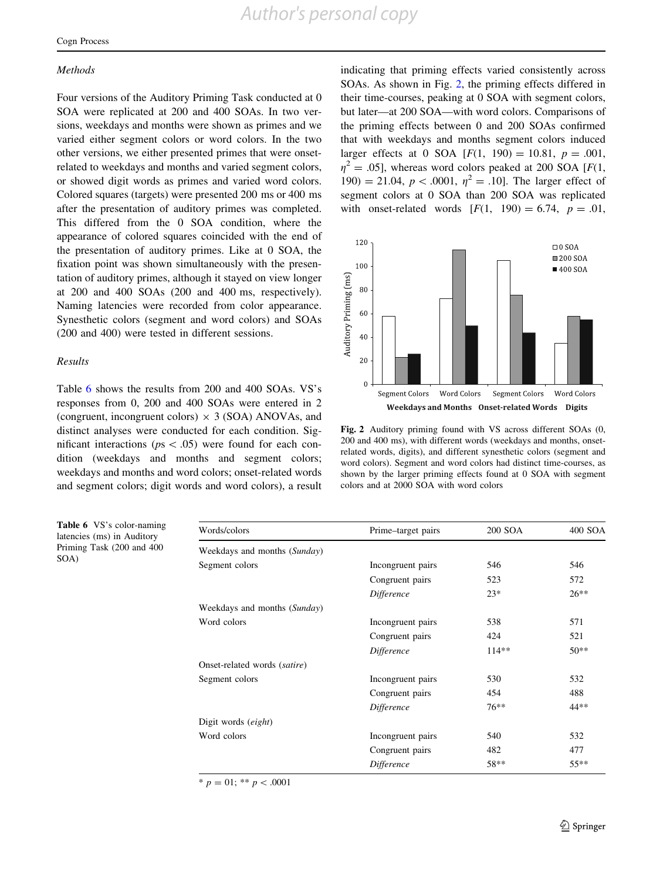## **Methods**

Four versions of the Auditory Priming Task conducted at 0 SOA were replicated at 200 and 400 SOAs. In two versions, weekdays and months were shown as primes and we varied either segment colors or word colors. In the two other versions, we either presented primes that were onsetrelated to weekdays and months and varied segment colors, or showed digit words as primes and varied word colors. Colored squares (targets) were presented 200 ms or 400 ms after the presentation of auditory primes was completed. This differed from the 0 SOA condition, where the appearance of colored squares coincided with the end of the presentation of auditory primes. Like at 0 SOA, the fixation point was shown simultaneously with the presentation of auditory primes, although it stayed on view longer at 200 and 400 SOAs (200 and 400 ms, respectively). Naming latencies were recorded from color appearance. Synesthetic colors (segment and word colors) and SOAs (200 and 400) were tested in different sessions.

## Results

Table 6 shows the results from 200 and 400 SOAs. VS's responses from 0, 200 and 400 SOAs were entered in 2 (congruent, incongruent colors)  $\times$  3 (SOA) ANOVAs, and distinct analyses were conducted for each condition. Significant interactions ( $ps\lt .05$ ) were found for each condition (weekdays and months and segment colors; weekdays and months and word colors; onset-related words and segment colors; digit words and word colors), a result

Table 6 VS's color-naming latencies (ms) in Auditory Priming Task (200 and 400 SOA)

indicating that priming effects varied consistently across SOAs. As shown in Fig. 2, the priming effects differed in their time-courses, peaking at 0 SOA with segment colors, but later—at 200 SOA—with word colors. Comparisons of the priming effects between 0 and 200 SOAs confirmed that with weekdays and months segment colors induced larger effects at 0 SOA  $[F(1, 190) = 10.81, p = .001,$  $\eta^2 = .05$ ], whereas word colors peaked at 200 SOA [F(1, 190) = 21.04,  $p < .0001$ ,  $\eta^2 = .10$ . The larger effect of segment colors at 0 SOA than 200 SOA was replicated with onset-related words  $[F(1, 190) = 6.74, p = .01,$ 



Fig. 2 Auditory priming found with VS across different SOAs (0, 200 and 400 ms), with different words (weekdays and months, onsetrelated words, digits), and different synesthetic colors (segment and word colors). Segment and word colors had distinct time-courses, as shown by the larger priming effects found at 0 SOA with segment colors and at 2000 SOA with word colors

| Words/colors                 | 200 SOA<br>Prime-target pairs |         | 400 SOA |
|------------------------------|-------------------------------|---------|---------|
| Weekdays and months (Sunday) |                               |         |         |
| Segment colors               | Incongruent pairs             | 546     | 546     |
|                              | Congruent pairs               | 523     | 572     |
|                              | Difference                    | $23*$   | $26**$  |
| Weekdays and months (Sunday) |                               |         |         |
| Word colors                  | Incongruent pairs             | 538     | 571     |
|                              | Congruent pairs               | 424     | 521     |
|                              | Difference                    | $114**$ | $50**$  |
| Onset-related words (satire) |                               |         |         |
| Segment colors               | Incongruent pairs             | 530     | 532     |
|                              | Congruent pairs               | 454     | 488     |
|                              | Difference                    | $76***$ | 44**    |
| Digit words <i>(eight)</i>   |                               |         |         |
| Word colors                  | Incongruent pairs             | 540     | 532     |
|                              | Congruent pairs               | 482     | 477     |
|                              | Difference                    | 58**    | $55***$ |

 $* p = 01; ** p < .0001$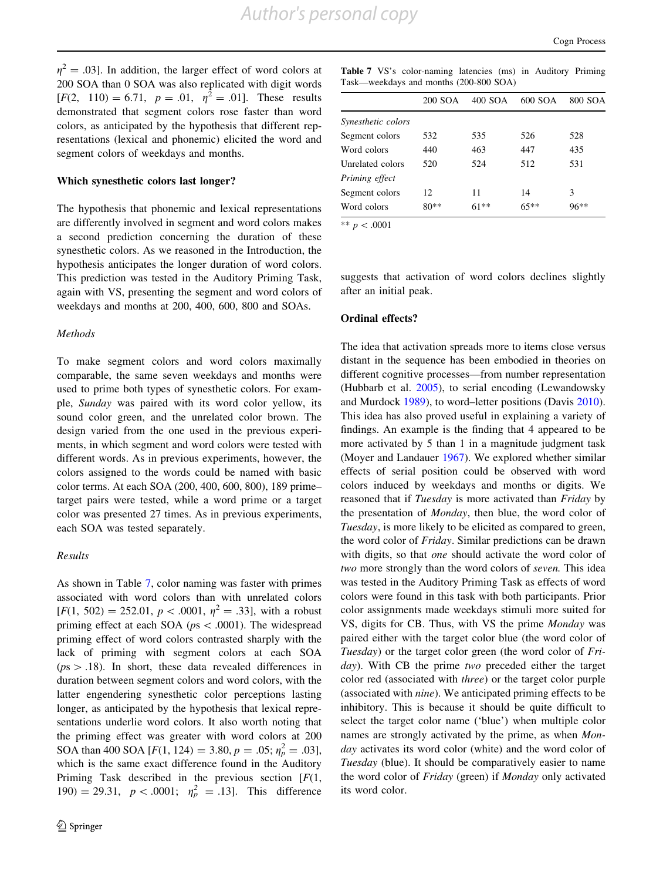$\eta^2 = .03$ ]. In addition, the larger effect of word colors at 200 SOA than 0 SOA was also replicated with digit words  $[F(2, 110) = 6.71, p = .01, \eta^2 = .01]$ . These results demonstrated that segment colors rose faster than word colors, as anticipated by the hypothesis that different representations (lexical and phonemic) elicited the word and segment colors of weekdays and months.

## Which synesthetic colors last longer?

The hypothesis that phonemic and lexical representations are differently involved in segment and word colors makes a second prediction concerning the duration of these synesthetic colors. As we reasoned in the Introduction, the hypothesis anticipates the longer duration of word colors. This prediction was tested in the Auditory Priming Task, again with VS, presenting the segment and word colors of weekdays and months at 200, 400, 600, 800 and SOAs.

#### Methods

To make segment colors and word colors maximally comparable, the same seven weekdays and months were used to prime both types of synesthetic colors. For example, Sunday was paired with its word color yellow, its sound color green, and the unrelated color brown. The design varied from the one used in the previous experiments, in which segment and word colors were tested with different words. As in previous experiments, however, the colors assigned to the words could be named with basic color terms. At each SOA (200, 400, 600, 800), 189 prime– target pairs were tested, while a word prime or a target color was presented 27 times. As in previous experiments, each SOA was tested separately.

## Results

As shown in Table 7, color naming was faster with primes associated with word colors than with unrelated colors  $[F(1, 502) = 252.01, p < .0001, \eta^2 = .33]$ , with a robust priming effect at each SOA ( $ps\lt 0.0001$ ). The widespread priming effect of word colors contrasted sharply with the lack of priming with segment colors at each SOA  $(ps > .18)$ . In short, these data revealed differences in duration between segment colors and word colors, with the latter engendering synesthetic color perceptions lasting longer, as anticipated by the hypothesis that lexical representations underlie word colors. It also worth noting that the priming effect was greater with word colors at 200 SOA than 400 SOA [ $F(1, 124) = 3.80, p = .05; \eta_p^2 = .03$ ], which is the same exact difference found in the Auditory Priming Task described in the previous section  $[F(1,$ 190) = 29.31,  $p < .0001$ ;  $\eta_p^2 = .13$ ]. This difference

Table 7 VS's color-naming latencies (ms) in Auditory Priming Task—weekdays and months (200-800 SOA)

|                    | 200 SOA | 400 SOA | 600 SOA | 800 SOA |
|--------------------|---------|---------|---------|---------|
| Synesthetic colors |         |         |         |         |
| Segment colors     | 532     | 535     | 526     | 528     |
| Word colors        | 440     | 463     | 447     | 435     |
| Unrelated colors   | 520     | 524     | 512     | 531     |
| Priming effect     |         |         |         |         |
| Segment colors     | 12      | 11      | 14      | 3       |
| Word colors        | $80**$  | $61**$  | $65**$  | $96**$  |

\*\*  $p < .0001$ 

suggests that activation of word colors declines slightly after an initial peak.

#### Ordinal effects?

The idea that activation spreads more to items close versus distant in the sequence has been embodied in theories on different cognitive processes—from number representation (Hubbarb et al. [2005\)](#page-18-0), to serial encoding (Lewandowsky and Murdock [1989\)](#page-19-0), to word–letter positions (Davis [2010](#page-18-0)). This idea has also proved useful in explaining a variety of findings. An example is the finding that 4 appeared to be more activated by 5 than 1 in a magnitude judgment task (Moyer and Landauer [1967](#page-19-0)). We explored whether similar effects of serial position could be observed with word colors induced by weekdays and months or digits. We reasoned that if *Tuesday* is more activated than *Friday* by the presentation of Monday, then blue, the word color of Tuesday, is more likely to be elicited as compared to green, the word color of Friday. Similar predictions can be drawn with digits, so that *one* should activate the word color of two more strongly than the word colors of seven. This idea was tested in the Auditory Priming Task as effects of word colors were found in this task with both participants. Prior color assignments made weekdays stimuli more suited for VS, digits for CB. Thus, with VS the prime Monday was paired either with the target color blue (the word color of Tuesday) or the target color green (the word color of Friday). With CB the prime two preceded either the target color red (associated with three) or the target color purple (associated with nine). We anticipated priming effects to be inhibitory. This is because it should be quite difficult to select the target color name ('blue') when multiple color names are strongly activated by the prime, as when Monday activates its word color (white) and the word color of Tuesday (blue). It should be comparatively easier to name the word color of Friday (green) if Monday only activated its word color.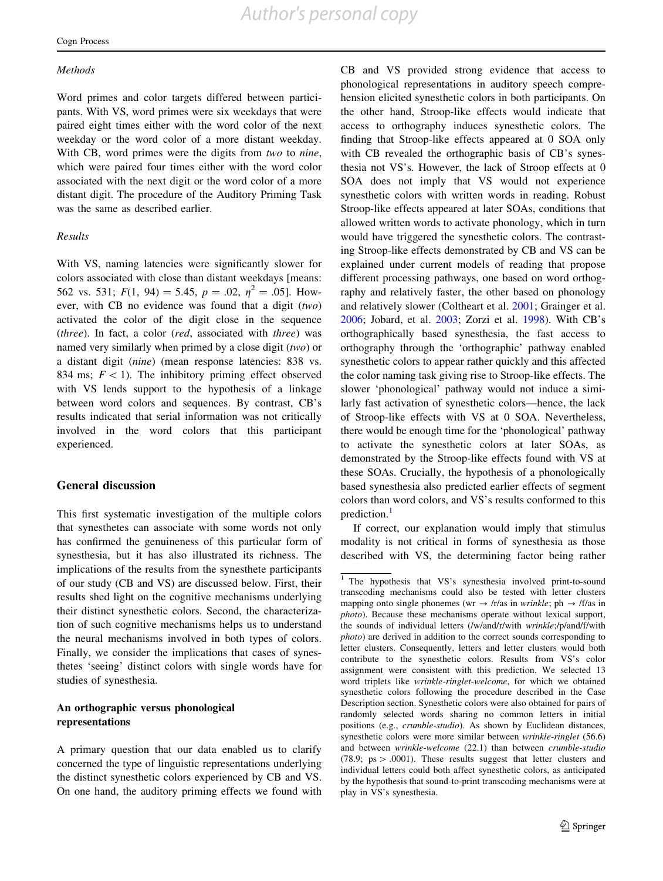#### **Methods**

Word primes and color targets differed between participants. With VS, word primes were six weekdays that were paired eight times either with the word color of the next weekday or the word color of a more distant weekday. With CB, word primes were the digits from two to nine, which were paired four times either with the word color associated with the next digit or the word color of a more distant digit. The procedure of the Auditory Priming Task was the same as described earlier.

## Results

With VS, naming latencies were significantly slower for colors associated with close than distant weekdays [means: 562 vs. 531;  $F(1, 94) = 5.45$ ,  $p = .02$ ,  $\eta^2 = .05$ . However, with CB no evidence was found that a digit  $(two)$ activated the color of the digit close in the sequence (three). In fact, a color (red, associated with three) was named very similarly when primed by a close digit (two) or a distant digit (nine) (mean response latencies: 838 vs. 834 ms;  $F\lt 1$ ). The inhibitory priming effect observed with VS lends support to the hypothesis of a linkage between word colors and sequences. By contrast, CB's results indicated that serial information was not critically involved in the word colors that this participant experienced.

## General discussion

This first systematic investigation of the multiple colors that synesthetes can associate with some words not only has confirmed the genuineness of this particular form of synesthesia, but it has also illustrated its richness. The implications of the results from the synesthete participants of our study (CB and VS) are discussed below. First, their results shed light on the cognitive mechanisms underlying their distinct synesthetic colors. Second, the characterization of such cognitive mechanisms helps us to understand the neural mechanisms involved in both types of colors. Finally, we consider the implications that cases of synesthetes 'seeing' distinct colors with single words have for studies of synesthesia.

## An orthographic versus phonological representations

A primary question that our data enabled us to clarify concerned the type of linguistic representations underlying the distinct synesthetic colors experienced by CB and VS. On one hand, the auditory priming effects we found with CB and VS provided strong evidence that access to phonological representations in auditory speech comprehension elicited synesthetic colors in both participants. On the other hand, Stroop-like effects would indicate that access to orthography induces synesthetic colors. The finding that Stroop-like effects appeared at 0 SOA only with CB revealed the orthographic basis of CB's synesthesia not VS's. However, the lack of Stroop effects at 0 SOA does not imply that VS would not experience synesthetic colors with written words in reading. Robust Stroop-like effects appeared at later SOAs, conditions that allowed written words to activate phonology, which in turn would have triggered the synesthetic colors. The contrasting Stroop-like effects demonstrated by CB and VS can be explained under current models of reading that propose different processing pathways, one based on word orthography and relatively faster, the other based on phonology and relatively slower (Coltheart et al. [2001](#page-18-0); Grainger et al. [2006](#page-18-0); Jobard, et al. [2003;](#page-18-0) Zorzi et al. [1998\)](#page-20-0). With CB's orthographically based synesthesia, the fast access to orthography through the 'orthographic' pathway enabled synesthetic colors to appear rather quickly and this affected the color naming task giving rise to Stroop-like effects. The slower 'phonological' pathway would not induce a similarly fast activation of synesthetic colors—hence, the lack of Stroop-like effects with VS at 0 SOA. Nevertheless, there would be enough time for the 'phonological' pathway to activate the synesthetic colors at later SOAs, as demonstrated by the Stroop-like effects found with VS at these SOAs. Crucially, the hypothesis of a phonologically based synesthesia also predicted earlier effects of segment colors than word colors, and VS's results conformed to this prediction.<sup>1</sup>

If correct, our explanation would imply that stimulus modality is not critical in forms of synesthesia as those described with VS, the determining factor being rather

<sup>&</sup>lt;sup>1</sup> The hypothesis that VS's synesthesia involved print-to-sound transcoding mechanisms could also be tested with letter clusters mapping onto single phonemes (wr  $\rightarrow$  /r/as in wrinkle; ph  $\rightarrow$  /f/as in photo). Because these mechanisms operate without lexical support, the sounds of individual letters (/w/and/r/with wrinkle;/p/and/f/with photo) are derived in addition to the correct sounds corresponding to letter clusters. Consequently, letters and letter clusters would both contribute to the synesthetic colors. Results from VS's color assignment were consistent with this prediction. We selected 13 word triplets like wrinkle-ringlet-welcome, for which we obtained synesthetic colors following the procedure described in the Case Description section. Synesthetic colors were also obtained for pairs of randomly selected words sharing no common letters in initial positions (e.g., crumble-studio). As shown by Euclidean distances, synesthetic colors were more similar between wrinkle-ringlet (56.6) and between wrinkle-welcome (22.1) than between crumble-studio (78.9;  $ps > .0001$ ). These results suggest that letter clusters and individual letters could both affect synesthetic colors, as anticipated by the hypothesis that sound-to-print transcoding mechanisms were at play in VS's synesthesia.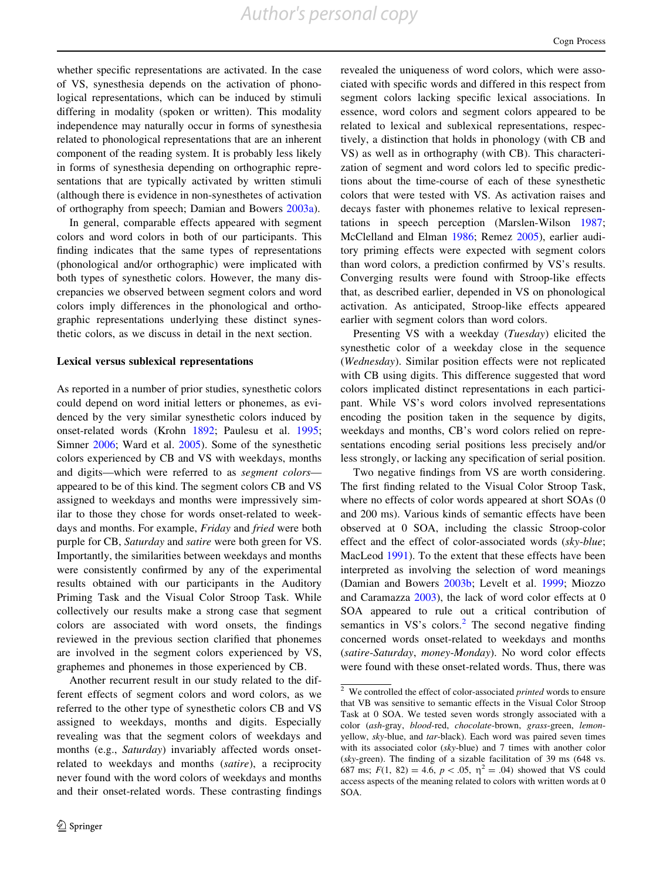whether specific representations are activated. In the case of VS, synesthesia depends on the activation of phonological representations, which can be induced by stimuli differing in modality (spoken or written). This modality independence may naturally occur in forms of synesthesia related to phonological representations that are an inherent component of the reading system. It is probably less likely in forms of synesthesia depending on orthographic representations that are typically activated by written stimuli (although there is evidence in non-synesthetes of activation of orthography from speech; Damian and Bowers [2003a\)](#page-18-0).

In general, comparable effects appeared with segment colors and word colors in both of our participants. This finding indicates that the same types of representations (phonological and/or orthographic) were implicated with both types of synesthetic colors. However, the many discrepancies we observed between segment colors and word colors imply differences in the phonological and orthographic representations underlying these distinct synesthetic colors, as we discuss in detail in the next section.

## Lexical versus sublexical representations

As reported in a number of prior studies, synesthetic colors could depend on word initial letters or phonemes, as evidenced by the very similar synesthetic colors induced by onset-related words (Krohn [1892;](#page-18-0) Paulesu et al. [1995](#page-19-0); Simner [2006;](#page-19-0) Ward et al. [2005\)](#page-20-0). Some of the synesthetic colors experienced by CB and VS with weekdays, months and digits—which were referred to as segment colors appeared to be of this kind. The segment colors CB and VS assigned to weekdays and months were impressively similar to those they chose for words onset-related to weekdays and months. For example, Friday and fried were both purple for CB, Saturday and satire were both green for VS. Importantly, the similarities between weekdays and months were consistently confirmed by any of the experimental results obtained with our participants in the Auditory Priming Task and the Visual Color Stroop Task. While collectively our results make a strong case that segment colors are associated with word onsets, the findings reviewed in the previous section clarified that phonemes are involved in the segment colors experienced by VS, graphemes and phonemes in those experienced by CB.

Another recurrent result in our study related to the different effects of segment colors and word colors, as we referred to the other type of synesthetic colors CB and VS assigned to weekdays, months and digits. Especially revealing was that the segment colors of weekdays and months (e.g., Saturday) invariably affected words onsetrelated to weekdays and months (satire), a reciprocity never found with the word colors of weekdays and months and their onset-related words. These contrasting findings revealed the uniqueness of word colors, which were associated with specific words and differed in this respect from segment colors lacking specific lexical associations. In essence, word colors and segment colors appeared to be related to lexical and sublexical representations, respectively, a distinction that holds in phonology (with CB and VS) as well as in orthography (with CB). This characterization of segment and word colors led to specific predictions about the time-course of each of these synesthetic colors that were tested with VS. As activation raises and decays faster with phonemes relative to lexical representations in speech perception (Marslen-Wilson [1987](#page-19-0); McClelland and Elman [1986;](#page-19-0) Remez [2005](#page-19-0)), earlier auditory priming effects were expected with segment colors than word colors, a prediction confirmed by VS's results. Converging results were found with Stroop-like effects that, as described earlier, depended in VS on phonological activation. As anticipated, Stroop-like effects appeared earlier with segment colors than word colors.

Presenting VS with a weekday (Tuesday) elicited the synesthetic color of a weekday close in the sequence (Wednesday). Similar position effects were not replicated with CB using digits. This difference suggested that word colors implicated distinct representations in each participant. While VS's word colors involved representations encoding the position taken in the sequence by digits, weekdays and months, CB's word colors relied on representations encoding serial positions less precisely and/or less strongly, or lacking any specification of serial position.

Two negative findings from VS are worth considering. The first finding related to the Visual Color Stroop Task, where no effects of color words appeared at short SOAs (0 and 200 ms). Various kinds of semantic effects have been observed at 0 SOA, including the classic Stroop-color effect and the effect of color-associated words (sky-blue; MacLeod [1991](#page-19-0)). To the extent that these effects have been interpreted as involving the selection of word meanings (Damian and Bowers [2003b;](#page-18-0) Levelt et al. [1999;](#page-19-0) Miozzo and Caramazza [2003](#page-19-0)), the lack of word color effects at 0 SOA appeared to rule out a critical contribution of semantics in  $VS$ 's colors.<sup>2</sup> The second negative finding concerned words onset-related to weekdays and months (satire-Saturday, money-Monday). No word color effects were found with these onset-related words. Thus, there was

 $2$  We controlled the effect of color-associated *printed* words to ensure that VB was sensitive to semantic effects in the Visual Color Stroop Task at 0 SOA. We tested seven words strongly associated with a color (ash-gray, blood-red, chocolate-brown, grass-green, lemonyellow, sky-blue, and tar-black). Each word was paired seven times with its associated color (sky-blue) and 7 times with another color (sky-green). The finding of a sizable facilitation of 39 ms (648 vs. 687 ms;  $F(1, 82) = 4.6$ ,  $p < .05$ ,  $\eta^2 = .04$ ) showed that VS could access aspects of the meaning related to colors with written words at 0 SOA.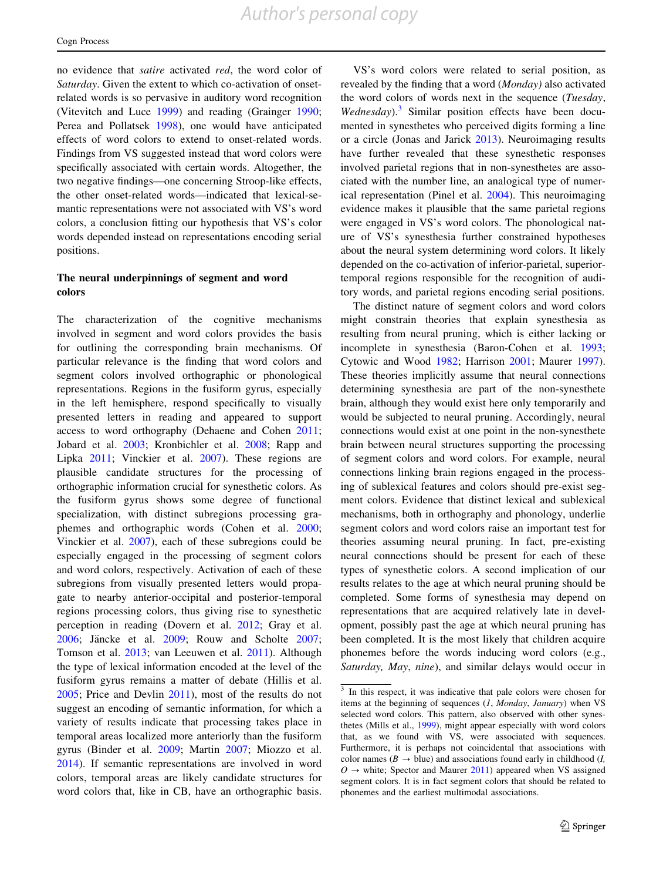no evidence that satire activated red, the word color of Saturday. Given the extent to which co-activation of onsetrelated words is so pervasive in auditory word recognition (Vitevitch and Luce [1999](#page-20-0)) and reading (Grainger [1990](#page-18-0); Perea and Pollatsek [1998](#page-19-0)), one would have anticipated effects of word colors to extend to onset-related words. Findings from VS suggested instead that word colors were specifically associated with certain words. Altogether, the two negative findings—one concerning Stroop-like effects, the other onset-related words—indicated that lexical-semantic representations were not associated with VS's word colors, a conclusion fitting our hypothesis that VS's color words depended instead on representations encoding serial positions.

## The neural underpinnings of segment and word colors

The characterization of the cognitive mechanisms involved in segment and word colors provides the basis for outlining the corresponding brain mechanisms. Of particular relevance is the finding that word colors and segment colors involved orthographic or phonological representations. Regions in the fusiform gyrus, especially in the left hemisphere, respond specifically to visually presented letters in reading and appeared to support access to word orthography (Dehaene and Cohen [2011](#page-18-0); Jobard et al. [2003;](#page-18-0) Kronbichler et al. [2008](#page-18-0); Rapp and Lipka [2011](#page-19-0); Vinckier et al. [2007\)](#page-20-0). These regions are plausible candidate structures for the processing of orthographic information crucial for synesthetic colors. As the fusiform gyrus shows some degree of functional specialization, with distinct subregions processing graphemes and orthographic words (Cohen et al. [2000](#page-18-0); Vinckier et al. [2007\)](#page-20-0), each of these subregions could be especially engaged in the processing of segment colors and word colors, respectively. Activation of each of these subregions from visually presented letters would propagate to nearby anterior-occipital and posterior-temporal regions processing colors, thus giving rise to synesthetic perception in reading (Dovern et al. [2012](#page-18-0); Gray et al. [2006;](#page-18-0) Jäncke et al. [2009;](#page-18-0) Rouw and Scholte [2007](#page-19-0); Tomson et al. [2013](#page-19-0); van Leeuwen et al. [2011\)](#page-19-0). Although the type of lexical information encoded at the level of the fusiform gyrus remains a matter of debate (Hillis et al. [2005;](#page-18-0) Price and Devlin [2011](#page-19-0)), most of the results do not suggest an encoding of semantic information, for which a variety of results indicate that processing takes place in temporal areas localized more anteriorly than the fusiform gyrus (Binder et al. [2009](#page-18-0); Martin [2007;](#page-19-0) Miozzo et al. [2014\)](#page-19-0). If semantic representations are involved in word colors, temporal areas are likely candidate structures for word colors that, like in CB, have an orthographic basis.

VS's word colors were related to serial position, as revealed by the finding that a word (Monday) also activated the word colors of words next in the sequence (Tuesday, Wednesday).<sup>3</sup> Similar position effects have been documented in synesthetes who perceived digits forming a line or a circle (Jonas and Jarick [2013](#page-18-0)). Neuroimaging results have further revealed that these synesthetic responses involved parietal regions that in non-synesthetes are associated with the number line, an analogical type of numerical representation (Pinel et al. [2004](#page-19-0)). This neuroimaging evidence makes it plausible that the same parietal regions were engaged in VS's word colors. The phonological nature of VS's synesthesia further constrained hypotheses about the neural system determining word colors. It likely depended on the co-activation of inferior-parietal, superiortemporal regions responsible for the recognition of auditory words, and parietal regions encoding serial positions.

The distinct nature of segment colors and word colors might constrain theories that explain synesthesia as resulting from neural pruning, which is either lacking or incomplete in synesthesia (Baron-Cohen et al. [1993](#page-18-0); Cytowic and Wood [1982;](#page-18-0) Harrison [2001;](#page-18-0) Maurer [1997](#page-19-0)). These theories implicitly assume that neural connections determining synesthesia are part of the non-synesthete brain, although they would exist here only temporarily and would be subjected to neural pruning. Accordingly, neural connections would exist at one point in the non-synesthete brain between neural structures supporting the processing of segment colors and word colors. For example, neural connections linking brain regions engaged in the processing of sublexical features and colors should pre-exist segment colors. Evidence that distinct lexical and sublexical mechanisms, both in orthography and phonology, underlie segment colors and word colors raise an important test for theories assuming neural pruning. In fact, pre-existing neural connections should be present for each of these types of synesthetic colors. A second implication of our results relates to the age at which neural pruning should be completed. Some forms of synesthesia may depend on representations that are acquired relatively late in development, possibly past the age at which neural pruning has been completed. It is the most likely that children acquire phonemes before the words inducing word colors (e.g., Saturday, May, nine), and similar delays would occur in

<sup>&</sup>lt;sup>3</sup> In this respect, it was indicative that pale colors were chosen for items at the beginning of sequences (1, Monday, January) when VS selected word colors. This pattern, also observed with other synesthetes (Mills et al., [1999\)](#page-19-0), might appear especially with word colors that, as we found with VS, were associated with sequences. Furthermore, it is perhaps not coincidental that associations with color names ( $B \rightarrow blue$ ) and associations found early in childhood (*I*,  $O \rightarrow$  white; Spector and Maurer [2011](#page-19-0)) appeared when VS assigned segment colors. It is in fact segment colors that should be related to phonemes and the earliest multimodal associations.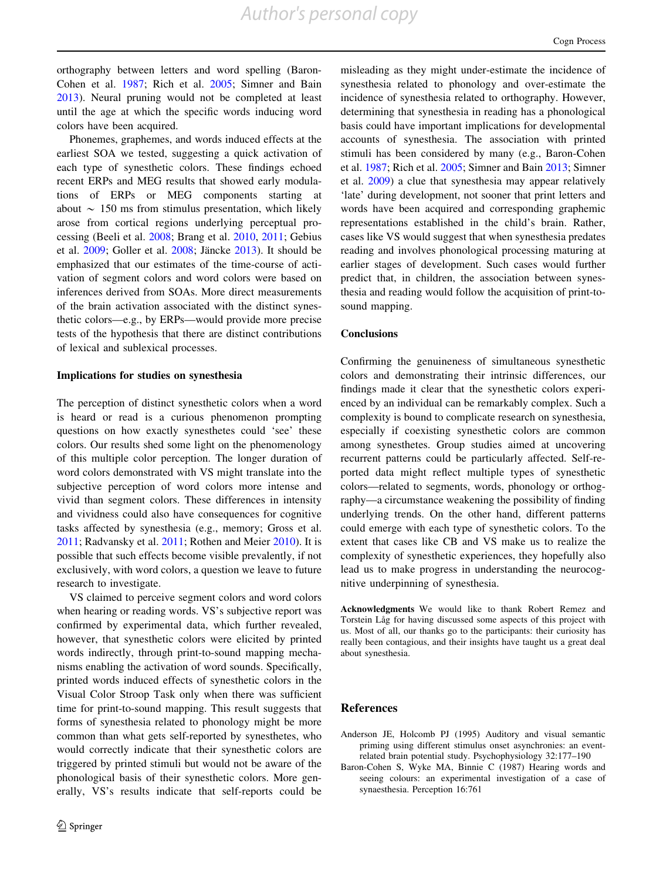<span id="page-17-0"></span>orthography between letters and word spelling (Baron-Cohen et al. 1987; Rich et al. [2005;](#page-19-0) Simner and Bain [2013\)](#page-19-0). Neural pruning would not be completed at least until the age at which the specific words inducing word colors have been acquired.

Phonemes, graphemes, and words induced effects at the earliest SOA we tested, suggesting a quick activation of each type of synesthetic colors. These findings echoed recent ERPs and MEG results that showed early modulations of ERPs or MEG components starting at about  $\sim$  150 ms from stimulus presentation, which likely arose from cortical regions underlying perceptual processing (Beeli et al. [2008;](#page-18-0) Brang et al. [2010,](#page-18-0) [2011](#page-18-0); Gebius et al. [2009;](#page-18-0) Goller et al. [2008;](#page-18-0) Jäncke [2013\)](#page-18-0). It should be emphasized that our estimates of the time-course of activation of segment colors and word colors were based on inferences derived from SOAs. More direct measurements of the brain activation associated with the distinct synesthetic colors—e.g., by ERPs—would provide more precise tests of the hypothesis that there are distinct contributions of lexical and sublexical processes.

## Implications for studies on synesthesia

The perception of distinct synesthetic colors when a word is heard or read is a curious phenomenon prompting questions on how exactly synesthetes could 'see' these colors. Our results shed some light on the phenomenology of this multiple color perception. The longer duration of word colors demonstrated with VS might translate into the subjective perception of word colors more intense and vivid than segment colors. These differences in intensity and vividness could also have consequences for cognitive tasks affected by synesthesia (e.g., memory; Gross et al. [2011;](#page-18-0) Radvansky et al. [2011](#page-19-0); Rothen and Meier [2010](#page-19-0)). It is possible that such effects become visible prevalently, if not exclusively, with word colors, a question we leave to future research to investigate.

VS claimed to perceive segment colors and word colors when hearing or reading words. VS's subjective report was confirmed by experimental data, which further revealed, however, that synesthetic colors were elicited by printed words indirectly, through print-to-sound mapping mechanisms enabling the activation of word sounds. Specifically, printed words induced effects of synesthetic colors in the Visual Color Stroop Task only when there was sufficient time for print-to-sound mapping. This result suggests that forms of synesthesia related to phonology might be more common than what gets self-reported by synesthetes, who would correctly indicate that their synesthetic colors are triggered by printed stimuli but would not be aware of the phonological basis of their synesthetic colors. More generally, VS's results indicate that self-reports could be

misleading as they might under-estimate the incidence of synesthesia related to phonology and over-estimate the incidence of synesthesia related to orthography. However, determining that synesthesia in reading has a phonological basis could have important implications for developmental accounts of synesthesia. The association with printed stimuli has been considered by many (e.g., Baron-Cohen et al. 1987; Rich et al. [2005;](#page-19-0) Simner and Bain [2013](#page-19-0); Simner et al. [2009\)](#page-19-0) a clue that synesthesia may appear relatively 'late' during development, not sooner that print letters and words have been acquired and corresponding graphemic representations established in the child's brain. Rather, cases like VS would suggest that when synesthesia predates reading and involves phonological processing maturing at earlier stages of development. Such cases would further predict that, in children, the association between synesthesia and reading would follow the acquisition of print-tosound mapping.

## **Conclusions**

Confirming the genuineness of simultaneous synesthetic colors and demonstrating their intrinsic differences, our findings made it clear that the synesthetic colors experienced by an individual can be remarkably complex. Such a complexity is bound to complicate research on synesthesia, especially if coexisting synesthetic colors are common among synesthetes. Group studies aimed at uncovering recurrent patterns could be particularly affected. Self-reported data might reflect multiple types of synesthetic colors—related to segments, words, phonology or orthography—a circumstance weakening the possibility of finding underlying trends. On the other hand, different patterns could emerge with each type of synesthetic colors. To the extent that cases like CB and VS make us to realize the complexity of synesthetic experiences, they hopefully also lead us to make progress in understanding the neurocognitive underpinning of synesthesia.

Acknowledgments We would like to thank Robert Remez and Torstein Låg for having discussed some aspects of this project with us. Most of all, our thanks go to the participants: their curiosity has really been contagious, and their insights have taught us a great deal about synesthesia.

#### References

- Anderson JE, Holcomb PJ (1995) Auditory and visual semantic priming using different stimulus onset asynchronies: an eventrelated brain potential study. Psychophysiology 32:177–190
- Baron-Cohen S, Wyke MA, Binnie C (1987) Hearing words and seeing colours: an experimental investigation of a case of synaesthesia. Perception 16:761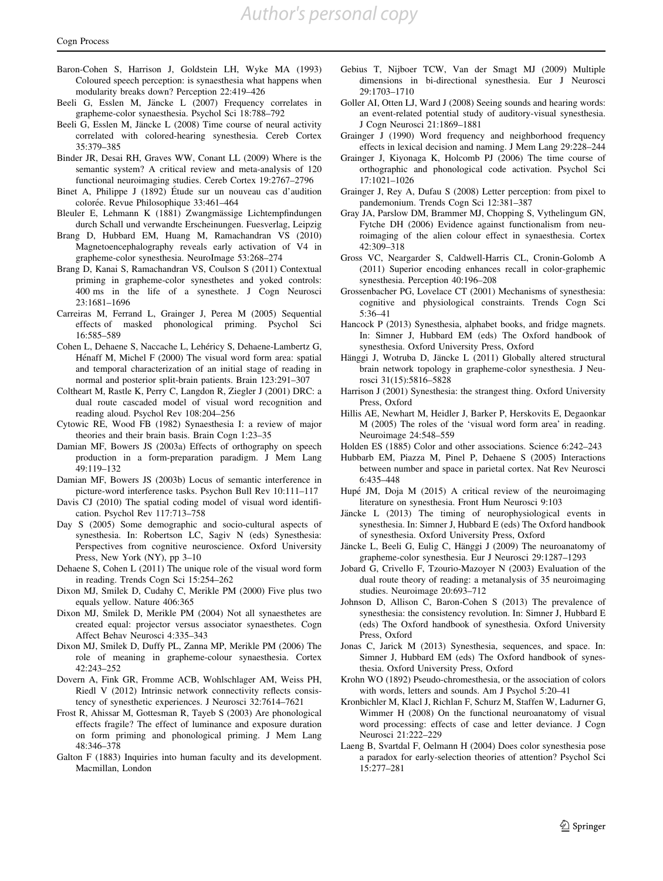- <span id="page-18-0"></span>Baron-Cohen S, Harrison J, Goldstein LH, Wyke MA (1993) Coloured speech perception: is synaesthesia what happens when modularity breaks down? Perception 22:419–426
- Beeli G, Esslen M, Jäncke L (2007) Frequency correlates in grapheme-color synaesthesia. Psychol Sci 18:788–792
- Beeli G, Esslen M, Jäncke L (2008) Time course of neural activity correlated with colored-hearing synesthesia. Cereb Cortex 35:379–385
- Binder JR, Desai RH, Graves WW, Conant LL (2009) Where is the semantic system? A critical review and meta-analysis of 120 functional neuroimaging studies. Cereb Cortex 19:2767–2796
- Binet A, Philippe J  $(1892)$  Étude sur un nouveau cas d'audition colorée. Revue Philosophique 33:461–464
- Bleuler E, Lehmann K (1881) Zwangmässige Lichtempfindungen durch Schall und verwandte Erscheinungen. Fuesverlag, Leipzig
- Brang D, Hubbard EM, Huang M, Ramachandran VS (2010) Magnetoencephalography reveals early activation of V4 in grapheme-color synesthesia. NeuroImage 53:268–274
- Brang D, Kanai S, Ramachandran VS, Coulson S (2011) Contextual priming in grapheme-color synesthetes and yoked controls: 400 ms in the life of a synesthete. J Cogn Neurosci 23:1681–1696
- Carreiras M, Ferrand L, Grainger J, Perea M (2005) Sequential effects of masked phonological priming. Psychol Sci 16:585–589
- Cohen L, Dehaene S, Naccache L, Lehéricy S, Dehaene-Lambertz G, Hénaff M, Michel F (2000) The visual word form area: spatial and temporal characterization of an initial stage of reading in normal and posterior split-brain patients. Brain 123:291–307
- Coltheart M, Rastle K, Perry C, Langdon R, Ziegler J (2001) DRC: a dual route cascaded model of visual word recognition and reading aloud. Psychol Rev 108:204–256
- Cytowic RE, Wood FB (1982) Synaesthesia I: a review of major theories and their brain basis. Brain Cogn 1:23–35
- Damian MF, Bowers JS (2003a) Effects of orthography on speech production in a form-preparation paradigm. J Mem Lang 49:119–132
- Damian MF, Bowers JS (2003b) Locus of semantic interference in picture-word interference tasks. Psychon Bull Rev 10:111–117
- Davis CJ (2010) The spatial coding model of visual word identification. Psychol Rev 117:713–758
- Day S (2005) Some demographic and socio-cultural aspects of synesthesia. In: Robertson LC, Sagiv N (eds) Synesthesia: Perspectives from cognitive neuroscience. Oxford University Press, New York (NY), pp 3–10
- Dehaene S, Cohen L (2011) The unique role of the visual word form in reading. Trends Cogn Sci 15:254–262
- Dixon MJ, Smilek D, Cudahy C, Merikle PM (2000) Five plus two equals yellow. Nature 406:365
- Dixon MJ, Smilek D, Merikle PM (2004) Not all synaesthetes are created equal: projector versus associator synaesthetes. Cogn Affect Behav Neurosci 4:335–343
- Dixon MJ, Smilek D, Duffy PL, Zanna MP, Merikle PM (2006) The role of meaning in grapheme-colour synaesthesia. Cortex 42:243–252
- Dovern A, Fink GR, Fromme ACB, Wohlschlager AM, Weiss PH, Riedl V (2012) Intrinsic network connectivity reflects consistency of synesthetic experiences. J Neurosci 32:7614–7621
- Frost R, Ahissar M, Gottesman R, Tayeb S (2003) Are phonological effects fragile? The effect of luminance and exposure duration on form priming and phonological priming. J Mem Lang 48:346–378
- Galton F (1883) Inquiries into human faculty and its development. Macmillan, London
- Gebius T, Nijboer TCW, Van der Smagt MJ (2009) Multiple dimensions in bi-directional synesthesia. Eur J Neurosci 29:1703–1710
- Goller AI, Otten LJ, Ward J (2008) Seeing sounds and hearing words: an event-related potential study of auditory-visual synesthesia. J Cogn Neurosci 21:1869–1881
- Grainger J (1990) Word frequency and neighborhood frequency effects in lexical decision and naming. J Mem Lang 29:228–244
- Grainger J, Kiyonaga K, Holcomb PJ (2006) The time course of orthographic and phonological code activation. Psychol Sci 17:1021–1026
- Grainger J, Rey A, Dufau S (2008) Letter perception: from pixel to pandemonium. Trends Cogn Sci 12:381–387
- Gray JA, Parslow DM, Brammer MJ, Chopping S, Vythelingum GN, Fytche DH (2006) Evidence against functionalism from neuroimaging of the alien colour effect in synaesthesia. Cortex 42:309–318
- Gross VC, Neargarder S, Caldwell-Harris CL, Cronin-Golomb A (2011) Superior encoding enhances recall in color-graphemic synesthesia. Perception 40:196–208
- Grossenbacher PG, Lovelace CT (2001) Mechanisms of synesthesia: cognitive and physiological constraints. Trends Cogn Sci 5:36–41
- Hancock P (2013) Synesthesia, alphabet books, and fridge magnets. In: Simner J, Hubbard EM (eds) The Oxford handbook of synesthesia. Oxford University Press, Oxford
- Hänggi J, Wotruba D, Jäncke L (2011) Globally altered structural brain network topology in grapheme-color synesthesia. J Neurosci 31(15):5816–5828
- Harrison J (2001) Synesthesia: the strangest thing. Oxford University Press, Oxford
- Hillis AE, Newhart M, Heidler J, Barker P, Herskovits E, Degaonkar M (2005) The roles of the 'visual word form area' in reading. Neuroimage 24:548–559
- Holden ES (1885) Color and other associations. Science 6:242–243
- Hubbarb EM, Piazza M, Pinel P, Dehaene S (2005) Interactions between number and space in parietal cortex. Nat Rev Neurosci 6:435–448
- Hupé JM, Doja M (2015) A critical review of the neuroimaging literature on synesthesia. Front Hum Neurosci 9:103
- Jäncke L (2013) The timing of neurophysiological events in synesthesia. In: Simner J, Hubbard E (eds) The Oxford handbook of synesthesia. Oxford University Press, Oxford
- Jäncke L, Beeli G, Eulig C, Hänggi J (2009) The neuroanatomy of grapheme-color synesthesia. Eur J Neurosci 29:1287–1293
- Jobard G, Crivello F, Tzourio-Mazoyer N (2003) Evaluation of the dual route theory of reading: a metanalysis of 35 neuroimaging studies. Neuroimage 20:693–712
- Johnson D, Allison C, Baron-Cohen S (2013) The prevalence of synesthesia: the consistency revolution. In: Simner J, Hubbard E (eds) The Oxford handbook of synesthesia. Oxford University Press, Oxford
- Jonas C, Jarick M (2013) Synesthesia, sequences, and space. In: Simner J, Hubbard EM (eds) The Oxford handbook of synesthesia. Oxford University Press, Oxford
- Krohn WO (1892) Pseudo-chromesthesia, or the association of colors with words, letters and sounds. Am J Psychol 5:20–41
- Kronbichler M, Klacl J, Richlan F, Schurz M, Staffen W, Ladurner G, Wimmer H (2008) On the functional neuroanatomy of visual word processing: effects of case and letter deviance. J Cogn Neurosci 21:222–229
- Laeng B, Svartdal F, Oelmann H (2004) Does color synesthesia pose a paradox for early-selection theories of attention? Psychol Sci 15:277–281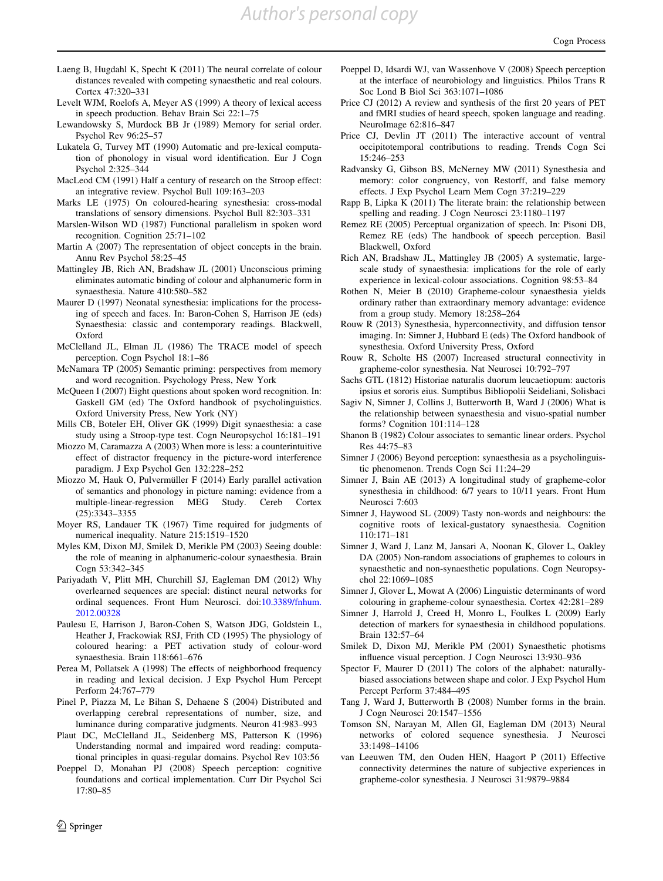*Author's personal copy*

- <span id="page-19-0"></span>Laeng B, Hugdahl K, Specht K (2011) The neural correlate of colour distances revealed with competing synaesthetic and real colours. Cortex 47:320–331
- Levelt WJM, Roelofs A, Meyer AS (1999) A theory of lexical access in speech production. Behav Brain Sci 22:1–75
- Lewandowsky S, Murdock BB Jr (1989) Memory for serial order. Psychol Rev 96:25–57
- Lukatela G, Turvey MT (1990) Automatic and pre-lexical computation of phonology in visual word identification. Eur J Cogn Psychol 2:325–344
- MacLeod CM (1991) Half a century of research on the Stroop effect: an integrative review. Psychol Bull 109:163–203
- Marks LE (1975) On coloured-hearing synesthesia: cross-modal translations of sensory dimensions. Psychol Bull 82:303–331
- Marslen-Wilson WD (1987) Functional parallelism in spoken word recognition. Cognition 25:71–102
- Martin A (2007) The representation of object concepts in the brain. Annu Rev Psychol 58:25–45
- Mattingley JB, Rich AN, Bradshaw JL (2001) Unconscious priming eliminates automatic binding of colour and alphanumeric form in synaesthesia. Nature 410:580–582
- Maurer D (1997) Neonatal synesthesia: implications for the processing of speech and faces. In: Baron-Cohen S, Harrison JE (eds) Synaesthesia: classic and contemporary readings. Blackwell, Oxford
- McClelland JL, Elman JL (1986) The TRACE model of speech perception. Cogn Psychol 18:1–86
- McNamara TP (2005) Semantic priming: perspectives from memory and word recognition. Psychology Press, New York
- McQueen I (2007) Eight questions about spoken word recognition. In: Gaskell GM (ed) The Oxford handbook of psycholinguistics. Oxford University Press, New York (NY)
- Mills CB, Boteler EH, Oliver GK (1999) Digit synaesthesia: a case study using a Stroop-type test. Cogn Neuropsychol 16:181–191
- Miozzo M, Caramazza A (2003) When more is less: a counterintuitive effect of distractor frequency in the picture-word interference paradigm. J Exp Psychol Gen 132:228–252
- Miozzo M, Hauk O, Pulvermüller F (2014) Early parallel activation of semantics and phonology in picture naming: evidence from a multiple-linear-regression MEG Study. Cereb Cortex (25):3343–3355
- Moyer RS, Landauer TK (1967) Time required for judgments of numerical inequality. Nature 215:1519–1520
- Myles KM, Dixon MJ, Smilek D, Merikle PM (2003) Seeing double: the role of meaning in alphanumeric-colour synaesthesia. Brain Cogn 53:342–345
- Pariyadath V, Plitt MH, Churchill SJ, Eagleman DM (2012) Why overlearned sequences are special: distinct neural networks for ordinal sequences. Front Hum Neurosci. doi:[10.3389/fnhum.](http://dx.doi.org/10.3389/fnhum.2012.00328) [2012.00328](http://dx.doi.org/10.3389/fnhum.2012.00328)
- Paulesu E, Harrison J, Baron-Cohen S, Watson JDG, Goldstein L, Heather J, Frackowiak RSJ, Frith CD (1995) The physiology of coloured hearing: a PET activation study of colour-word synaesthesia. Brain 118:661–676
- Perea M, Pollatsek A (1998) The effects of neighborhood frequency in reading and lexical decision. J Exp Psychol Hum Percept Perform 24:767–779
- Pinel P, Piazza M, Le Bihan S, Dehaene S (2004) Distributed and overlapping cerebral representations of number, size, and luminance during comparative judgments. Neuron 41:983–993
- Plaut DC, McClelland JL, Seidenberg MS, Patterson K (1996) Understanding normal and impaired word reading: computational principles in quasi-regular domains. Psychol Rev 103:56
- Poeppel D, Monahan PJ (2008) Speech perception: cognitive foundations and cortical implementation. Curr Dir Psychol Sci 17:80–85
- Poeppel D, Idsardi WJ, van Wassenhove V (2008) Speech perception at the interface of neurobiology and linguistics. Philos Trans R Soc Lond B Biol Sci 363:1071–1086
- Price CJ (2012) A review and synthesis of the first 20 years of PET and fMRI studies of heard speech, spoken language and reading. NeuroImage 62:816–847
- Price CJ, Devlin JT (2011) The interactive account of ventral occipitotemporal contributions to reading. Trends Cogn Sci 15:246–253
- Radvansky G, Gibson BS, McNerney MW (2011) Synesthesia and memory: color congruency, von Restorff, and false memory effects. J Exp Psychol Learn Mem Cogn 37:219–229
- Rapp B, Lipka K (2011) The literate brain: the relationship between spelling and reading. J Cogn Neurosci 23:1180–1197
- Remez RE (2005) Perceptual organization of speech. In: Pisoni DB, Remez RE (eds) The handbook of speech perception. Basil Blackwell, Oxford
- Rich AN, Bradshaw JL, Mattingley JB (2005) A systematic, largescale study of synaesthesia: implications for the role of early experience in lexical-colour associations. Cognition 98:53–84
- Rothen N, Meier B (2010) Grapheme-colour synaesthesia yields ordinary rather than extraordinary memory advantage: evidence from a group study. Memory 18:258–264
- Rouw R (2013) Synesthesia, hyperconnectivity, and diffusion tensor imaging. In: Simner J, Hubbard E (eds) The Oxford handbook of synesthesia. Oxford University Press, Oxford
- Rouw R, Scholte HS (2007) Increased structural connectivity in grapheme-color synesthesia. Nat Neurosci 10:792–797
- Sachs GTL (1812) Historiae naturalis duorum leucaetiopum: auctoris ipsius et sororis eius. Sumptibus Bibliopolii Seideliani, Solisbaci
- Sagiv N, Simner J, Collins J, Butterworth B, Ward J (2006) What is the relationship between synaesthesia and visuo-spatial number forms? Cognition 101:114–128
- Shanon B (1982) Colour associates to semantic linear orders. Psychol Res 44:75–83
- Simner J (2006) Beyond perception: synaesthesia as a psycholinguistic phenomenon. Trends Cogn Sci 11:24–29
- Simner J, Bain AE (2013) A longitudinal study of grapheme-color synesthesia in childhood: 6/7 years to 10/11 years. Front Hum Neurosci 7:603
- Simner J, Haywood SL (2009) Tasty non-words and neighbours: the cognitive roots of lexical-gustatory synaesthesia. Cognition 110:171–181
- Simner J, Ward J, Lanz M, Jansari A, Noonan K, Glover L, Oakley DA (2005) Non-random associations of graphemes to colours in synaesthetic and non-synaesthetic populations. Cogn Neuropsychol 22:1069–1085
- Simner J, Glover L, Mowat A (2006) Linguistic determinants of word colouring in grapheme-colour synaesthesia. Cortex 42:281–289
- Simner J, Harrold J, Creed H, Monro L, Foulkes L (2009) Early detection of markers for synaesthesia in childhood populations. Brain 132:57–64
- Smilek D, Dixon MJ, Merikle PM (2001) Synaesthetic photisms influence visual perception. J Cogn Neurosci 13:930–936
- Spector F, Maurer D (2011) The colors of the alphabet: naturallybiased associations between shape and color. J Exp Psychol Hum Percept Perform 37:484–495
- Tang J, Ward J, Butterworth B (2008) Number forms in the brain. J Cogn Neurosci 20:1547–1556
- Tomson SN, Narayan M, Allen GI, Eagleman DM (2013) Neural networks of colored sequence synesthesia. J Neurosci 33:1498–14106
- van Leeuwen TM, den Ouden HEN, Haagort P (2011) Effective connectivity determines the nature of subjective experiences in grapheme-color synesthesia. J Neurosci 31:9879–9884